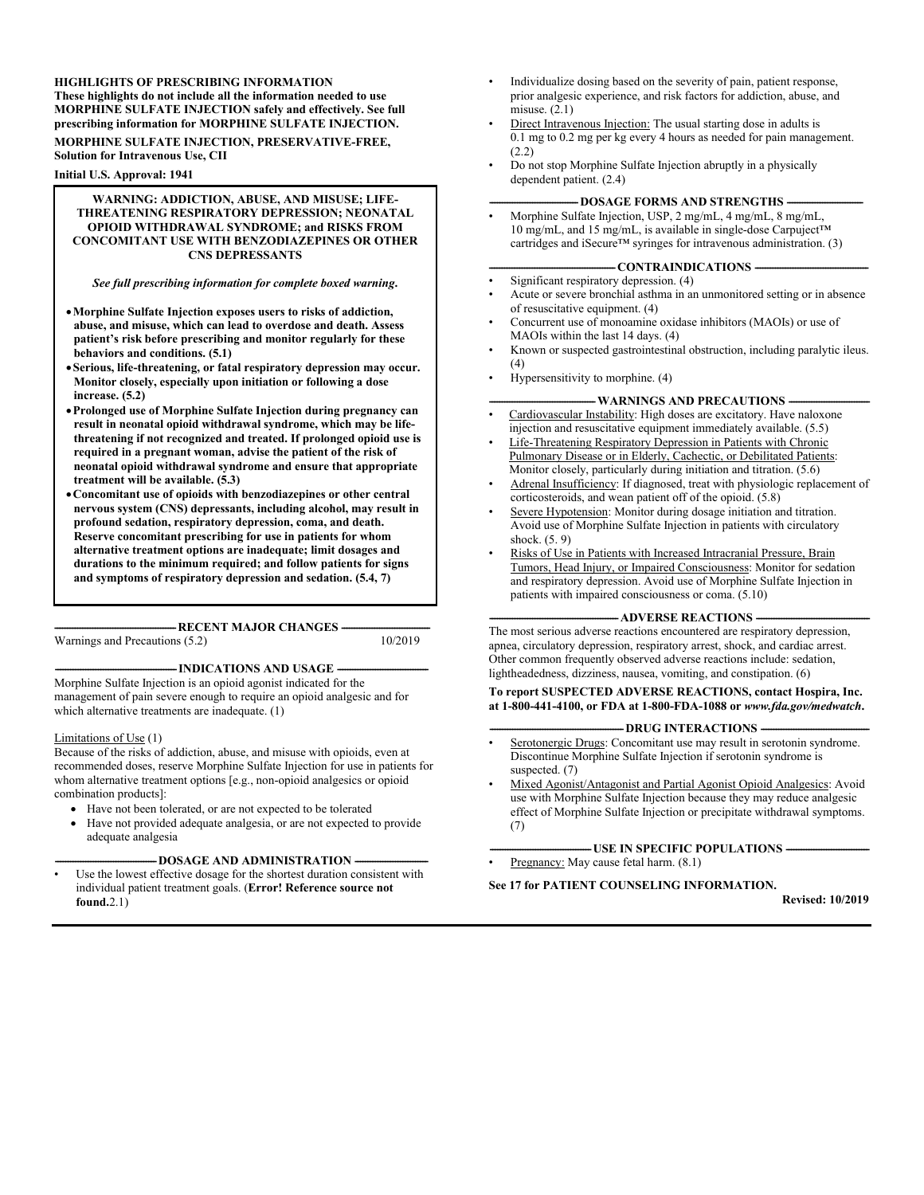#### **HIGHLIGHTS OF PRESCRIBING INFORMATION These highlights do not include all the information needed to use MORPHINE SULFATE INJECTION safely and effectively. See full prescribing information for MORPHINE SULFATE INJECTION.**

**MORPHINE SULFATE INJECTION, PRESERVATIVE-FREE, Solution for Intravenous Use, CII**

**Initial U.S. Approval: 1941**

#### **WARNING: ADDICTION, ABUSE, AND MISUSE; LIFE-THREATENING RESPIRATORY DEPRESSION; NEONATAL OPIOID WITHDRAWAL SYNDROME; and RISKS FROM CONCOMITANT USE WITH BENZODIAZEPINES OR OTHER CNS DEPRESSANTS**

#### *See full prescribing information for complete boxed warning***.**

- **Morphine Sulfate Injection exposes users to risks of addiction, abuse, and misuse, which can lead to overdose and death. Assess patient's risk before prescribing and monitor regularly for these behaviors and conditions. (5.1)**
- **Serious, life-threatening, or fatal respiratory depression may occur. Monitor closely, especially upon initiation or following a dose increase. (5.2)**
- **Prolonged use of Morphine Sulfate Injection during pregnancy can result in neonatal opioid withdrawal syndrome, which may be lifethreatening if not recognized and treated. If prolonged opioid use is required in a pregnant woman, advise the patient of the risk of neonatal opioid withdrawal syndrome and ensure that appropriate treatment will be available. (5.3)**
- **Concomitant use of opioids with benzodiazepines or other central nervous system (CNS) depressants, including alcohol, may result in profound sedation, respiratory depression, coma, and death. Reserve concomitant prescribing for use in patients for whom alternative treatment options are inadequate; limit dosages and durations to the minimum required; and follow patients for signs and symptoms of respiratory depression and sedation. (5.4, 7)**

**------------------------------------------------RECENT MAJOR CHANGES -----------------------------------** Warnings and Precautions (5.2)

#### -INDICATIONS AND USAGE -

Morphine Sulfate Injection is an opioid agonist indicated for the management of pain severe enough to require an opioid analgesic and for which alternative treatments are inadequate. (1)

#### Limitations of Use (1)

Because of the risks of addiction, abuse, and misuse with opioids, even at recommended doses, reserve Morphine Sulfate Injection for use in patients for whom alternative treatment options [e.g., non-opioid analgesics or opioid combination products]:

- Have not been tolerated, or are not expected to be tolerated
- Have not provided adequate analgesia, or are not expected to provide adequate analgesia

#### **-DOSAGE AND ADMINISTRATION -**

Use the lowest effective dosage for the shortest duration consistent with individual patient treatment goals. (**Error! Reference source not found.**2.1)

- Individualize dosing based on the severity of pain, patient response, prior analgesic experience, and risk factors for addiction, abuse, and misuse. (2.1)
- Direct Intravenous Injection: The usual starting dose in adults is 0.1 mg to 0.2 mg per kg every 4 hours as needed for pain management. (2.2)
- Do not stop Morphine Sulfate Injection abruptly in a physically dependent patient. (2.4)

#### **DOSAGE FORMS AND STRENGTHS -**

• Morphine Sulfate Injection, USP, 2 mg/mL, 4 mg/mL, 8 mg/mL, 10 mg/mL, and 15 mg/mL, is available in single-dose Carpuject™ cartridges and iSecure™ syringes for intravenous administration. (3)

#### - CONTRAINDICATIONS -

- Significant respiratory depression. (4)
- Acute or severe bronchial asthma in an unmonitored setting or in absence of resuscitative equipment. (4)
- Concurrent use of monoamine oxidase inhibitors (MAOIs) or use of MAOIs within the last 14 days. (4)
- Known or suspected gastrointestinal obstruction, including paralytic ileus.  $(4)$
- Hypersensitivity to morphine. (4)

#### -WARNINGS AND PRECAUTIONS -

- Cardiovascular Instability: High doses are excitatory. Have naloxone injection and resuscitative equipment immediately available. (5.5)
- Life-Threatening Respiratory Depression in Patients with Chronic Pulmonary Disease or in Elderly, Cachectic, or Debilitated Patients: Monitor closely, particularly during initiation and titration. (5.6)
- Adrenal Insufficiency: If diagnosed, treat with physiologic replacement of corticosteroids, and wean patient off of the opioid. (5.8)
- Severe Hypotension: Monitor during dosage initiation and titration. Avoid use of Morphine Sulfate Injection in patients with circulatory shock. (5. 9)
- Risks of Use in Patients with Increased Intracranial Pressure, Brain Tumors, Head Injury, or Impaired Consciousness: Monitor for sedation and respiratory depression. Avoid use of Morphine Sulfate Injection in patients with impaired consciousness or coma. (5.10)

#### **-ADVERSE REACTIONS -**

The most serious adverse reactions encountered are respiratory depression, apnea, circulatory depression, respiratory arrest, shock, and cardiac arrest. Other common frequently observed adverse reactions include: sedation, lightheadedness, dizziness, nausea, vomiting, and constipation. (6)

**To report SUSPECTED ADVERSE REACTIONS, contact Hospira, Inc. at 1-800-441-4100, or FDA at 1-800-FDA-1088 or** *www.fda.gov/medwatch***.** 

#### **-DRUG INTERACTIONS**

- Serotonergic Drugs: Concomitant use may result in serotonin syndrome. Discontinue Morphine Sulfate Injection if serotonin syndrome is suspected. (7)
- Mixed Agonist/Antagonist and Partial Agonist Opioid Analgesics: Avoid use with Morphine Sulfate Injection because they may reduce analgesic effect of Morphine Sulfate Injection or precipitate withdrawal symptoms. (7)
	- **-USE IN SPECIFIC POPULATIONS -**
- Pregnancy: May cause fetal harm. (8.1)

#### **See 17 for PATIENT COUNSELING INFORMATION.**

**Revised: 10/2019**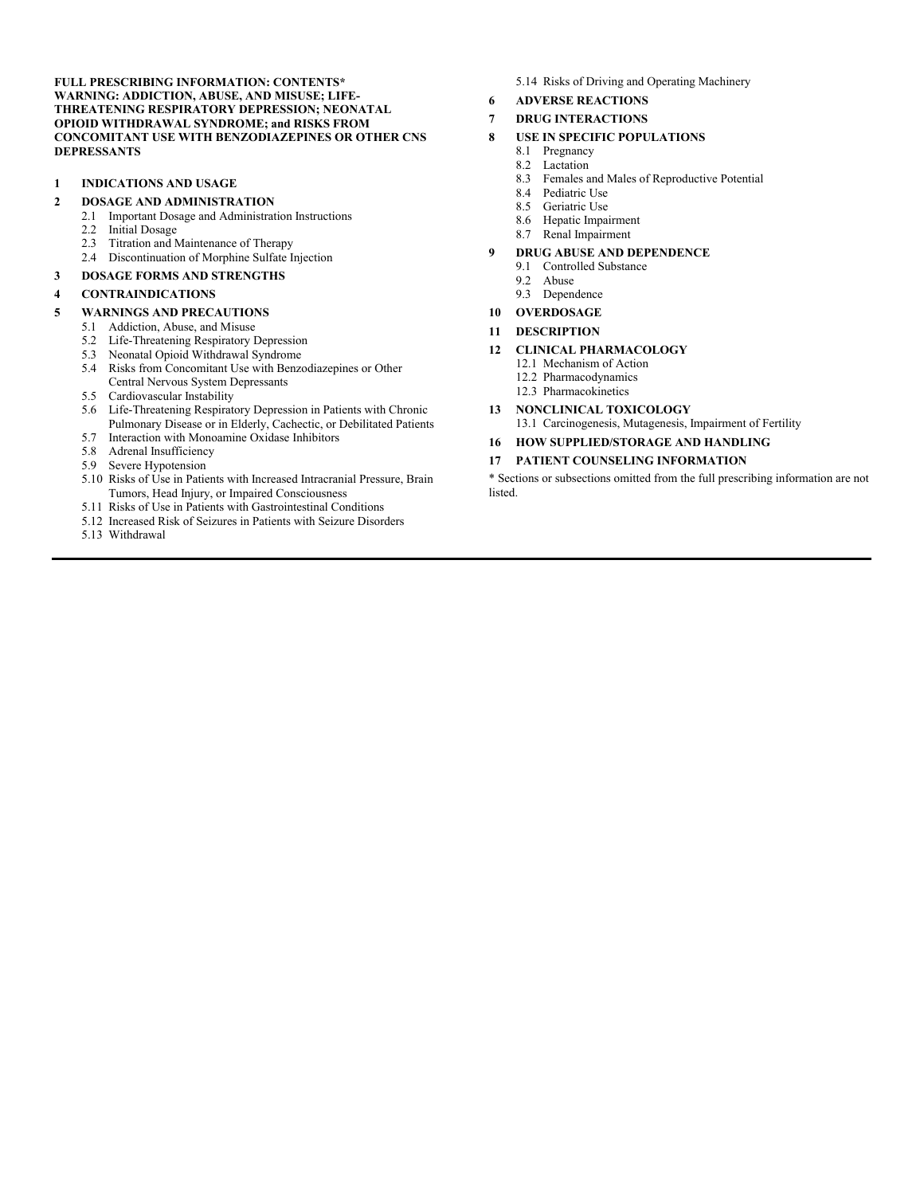**FULL PRESCRIBING INFORMATION: CONTENTS\* WARNING: ADDICTION, ABUSE, AND MISUSE; LIFE-THREATENING RESPIRATORY DEPRESSION; NEONATAL OPIOID WITHDRAWAL SYNDROME; and RISKS FROM CONCOMITANT USE WITH BENZODIAZEPINES OR OTHER CNS DEPRESSANTS** 

#### **1 INDICATIONS AND USAGE**

# **2 DOSAGE AND ADMINISTRATION**<br>2.1 **Important Dosage and Administrat**

- 2.1 Important Dosage and Administration Instructions
- 2.2 Initial Dosage
- 2.3 Titration and Maintenance of Therapy
- 2.4 Discontinuation of Morphine Sulfate Injection
- **3 DOSAGE FORMS AND STRENGTHS**

#### **4 CONTRAINDICATIONS**

#### **5 WARNINGS AND PRECAUTIONS**

- 5.1 Addiction, Abuse, and Misuse
	- 5.2 Life-Threatening Respiratory Depression
	- 5.3 Neonatal Opioid Withdrawal Syndrome
	- 5.4 Risks from Concomitant Use with Benzodiazepines or Other Central Nervous System Depressants
	- 5.5 Cardiovascular Instability
	- 5.6 Life-Threatening Respiratory Depression in Patients with Chronic Pulmonary Disease or in Elderly, Cachectic, or Debilitated Patients
	- 5.7 Interaction with Monoamine Oxidase Inhibitors
	- 5.8 Adrenal Insufficiency
	- 5.9 Severe Hypotension
	- 5.10 Risks of Use in Patients with Increased Intracranial Pressure, Brain Tumors, Head Injury, or Impaired Consciousness
	- 5.11 Risks of Use in Patients with Gastrointestinal Conditions
	- 5.12 Increased Risk of Seizures in Patients with Seizure Disorders
	- 5.13 Withdrawal
- 5.14 Risks of Driving and Operating Machinery
- **6 ADVERSE REACTIONS**

#### **7 DRUG INTERACTIONS**

- **8 USE IN SPECIFIC POPULATIONS** 
	- 8.1 Pregnancy
	- 8.2 Lactation
	- 8.3 Females and Males of Reproductive Potential
	- 8.4 Pediatric Use
	- 8.5 Geriatric Use
	- 8.6 Hepatic Impairment
	- 8.7 Renal Impairment

#### **9 DRUG ABUSE AND DEPENDENCE**

- 9.1 Controlled Substance
- 9.2 Abuse
- 9.3 Dependence
- **10 OVERDOSAGE**
- **11 DESCRIPTION**

#### **12 CLINICAL PHARMACOLOGY**

- 12.1 Mechanism of Action
- 12.2 Pharmacodynamics
- 12.3 Pharmacokinetics

#### **13 NONCLINICAL TOXICOLOGY**

- 13.1 Carcinogenesis, Mutagenesis, Impairment of Fertility
- **16 HOW SUPPLIED/STORAGE AND HANDLING**

#### **17 PATIENT COUNSELING INFORMATION**

\* Sections or subsections omitted from the full prescribing information are not listed.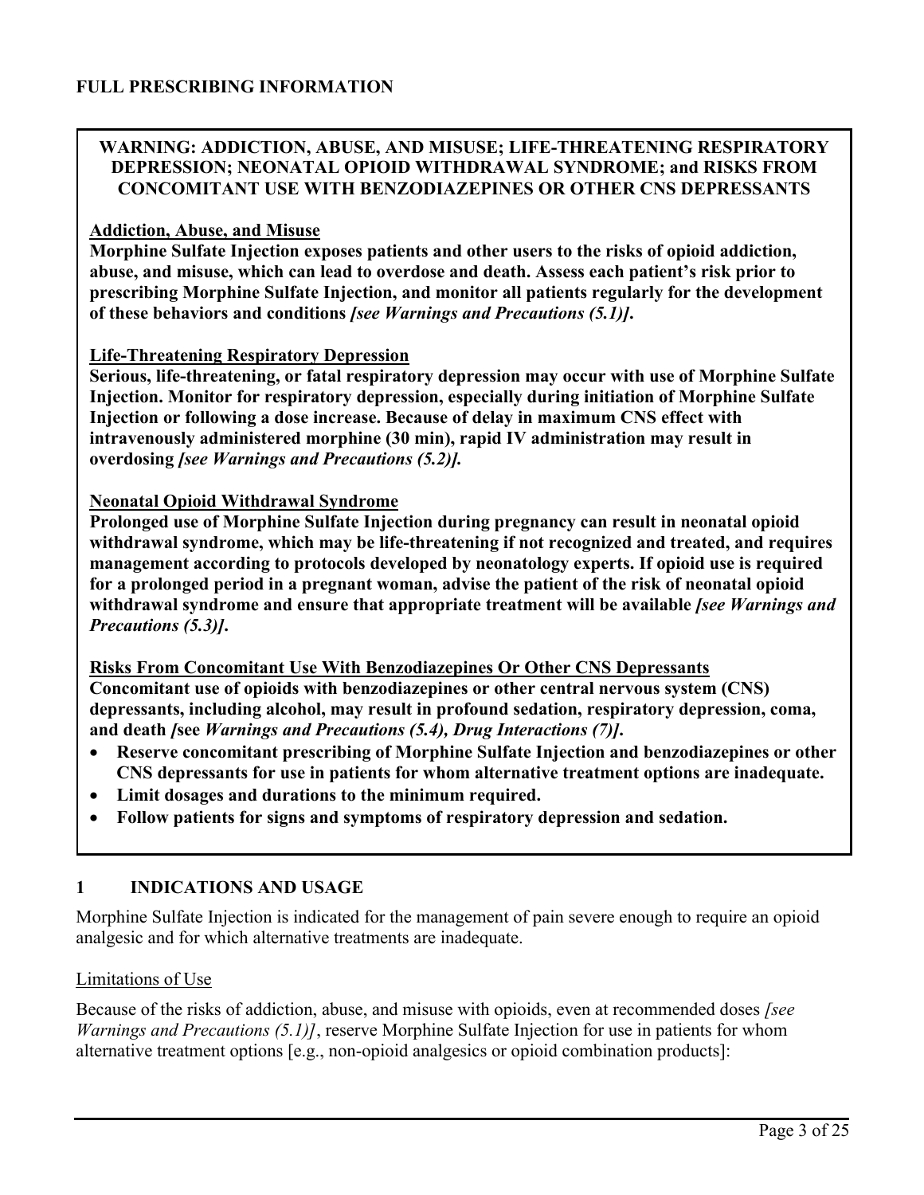### **WARNING: ADDICTION, ABUSE, AND MISUSE; LIFE-THREATENING RESPIRATORY DEPRESSION; NEONATAL OPIOID WITHDRAWAL SYNDROME; and RISKS FROM CONCOMITANT USE WITH BENZODIAZEPINES OR OTHER CNS DEPRESSANTS**

#### **Addiction, Abuse, and Misuse**

**Morphine Sulfate Injection exposes patients and other users to the risks of opioid addiction, abuse, and misuse, which can lead to overdose and death. Assess each patient's risk prior to prescribing Morphine Sulfate Injection, and monitor all patients regularly for the development of these behaviors and conditions** *[see Warnings and Precautions (5.1)]***.** 

#### **Life-Threatening Respiratory Depression**

**Serious, life-threatening, or fatal respiratory depression may occur with use of Morphine Sulfate Injection. Monitor for respiratory depression, especially during initiation of Morphine Sulfate Injection or following a dose increase. Because of delay in maximum CNS effect with intravenously administered morphine (30 min), rapid IV administration may result in overdosing** *[see Warnings and Precautions (5.2)].* 

#### **Neonatal Opioid Withdrawal Syndrome**

**Prolonged use of Morphine Sulfate Injection during pregnancy can result in neonatal opioid withdrawal syndrome, which may be life-threatening if not recognized and treated, and requires management according to protocols developed by neonatology experts. If opioid use is required for a prolonged period in a pregnant woman, advise the patient of the risk of neonatal opioid withdrawal syndrome and ensure that appropriate treatment will be available** *[see Warnings and Precautions (5.3)]***.** 

**Risks From Concomitant Use With Benzodiazepines Or Other CNS Depressants Concomitant use of opioids with benzodiazepines or other central nervous system (CNS) depressants, including alcohol, may result in profound sedation, respiratory depression, coma, and death** *[***see** *Warnings and Precautions (5.4), Drug Interactions (7)]***.** 

- **Reserve concomitant prescribing of Morphine Sulfate Injection and benzodiazepines or other CNS depressants for use in patients for whom alternative treatment options are inadequate.**
- **Limit dosages and durations to the minimum required.**
- **Follow patients for signs and symptoms of respiratory depression and sedation.**

### **1 INDICATIONS AND USAGE**

Morphine Sulfate Injection is indicated for the management of pain severe enough to require an opioid analgesic and for which alternative treatments are inadequate.

#### Limitations of Use

Because of the risks of addiction, abuse, and misuse with opioids, even at recommended doses *[see Warnings and Precautions (5.1)]*, reserve Morphine Sulfate Injection for use in patients for whom alternative treatment options [e.g., non-opioid analgesics or opioid combination products]: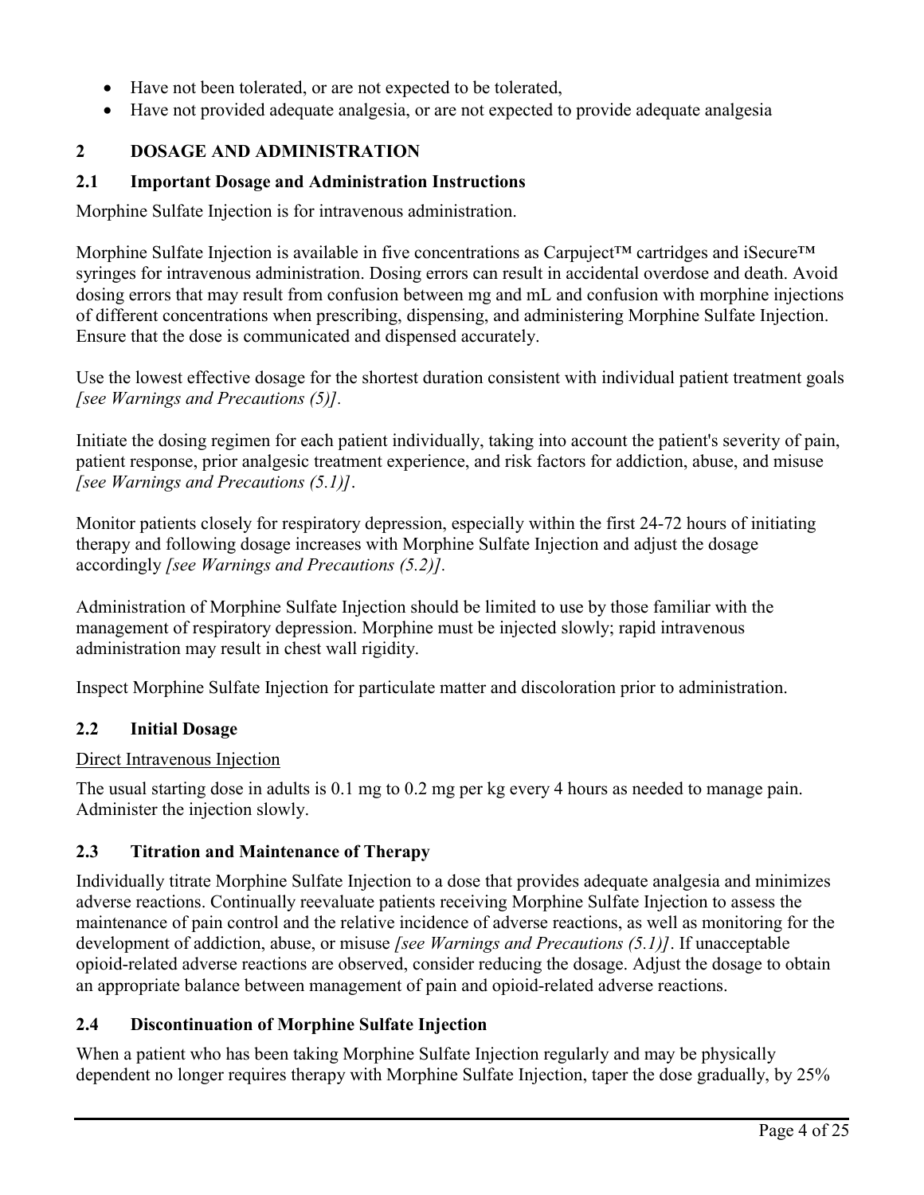- Have not been tolerated, or are not expected to be tolerated,
- Have not provided adequate analgesia, or are not expected to provide adequate analgesia

## **2 DOSAGE AND ADMINISTRATION**

### **2.1 Important Dosage and Administration Instructions**

Morphine Sulfate Injection is for intravenous administration.

Morphine Sulfate Injection is available in five concentrations as Carpuject™ cartridges and iSecure™ syringes for intravenous administration. Dosing errors can result in accidental overdose and death. Avoid dosing errors that may result from confusion between mg and mL and confusion with morphine injections of different concentrations when prescribing, dispensing, and administering Morphine Sulfate Injection. Ensure that the dose is communicated and dispensed accurately.

Use the lowest effective dosage for the shortest duration consistent with individual patient treatment goals *[see Warnings and Precautions (5)].*

Initiate the dosing regimen for each patient individually, taking into account the patient's severity of pain, patient response, prior analgesic treatment experience, and risk factors for addiction, abuse, and misuse *[see Warnings and Precautions (5.1)]*.

Monitor patients closely for respiratory depression, especially within the first 24-72 hours of initiating therapy and following dosage increases with Morphine Sulfate Injection and adjust the dosage accordingly *[see Warnings and Precautions (5.2)].*

Administration of Morphine Sulfate Injection should be limited to use by those familiar with the management of respiratory depression. Morphine must be injected slowly; rapid intravenous administration may result in chest wall rigidity.

Inspect Morphine Sulfate Injection for particulate matter and discoloration prior to administration.

### **2.2 Initial Dosage**

#### Direct Intravenous Injection

The usual starting dose in adults is 0.1 mg to 0.2 mg per kg every 4 hours as needed to manage pain. Administer the injection slowly.

### **2.3 Titration and Maintenance of Therapy**

Individually titrate Morphine Sulfate Injection to a dose that provides adequate analgesia and minimizes adverse reactions. Continually reevaluate patients receiving Morphine Sulfate Injection to assess the maintenance of pain control and the relative incidence of adverse reactions, as well as monitoring for the development of addiction, abuse, or misuse *[see Warnings and Precautions (5.1)]*. If unacceptable opioid-related adverse reactions are observed, consider reducing the dosage. Adjust the dosage to obtain an appropriate balance between management of pain and opioid-related adverse reactions.

### **2.4 Discontinuation of Morphine Sulfate Injection**

When a patient who has been taking Morphine Sulfate Injection regularly and may be physically dependent no longer requires therapy with Morphine Sulfate Injection, taper the dose gradually, by 25%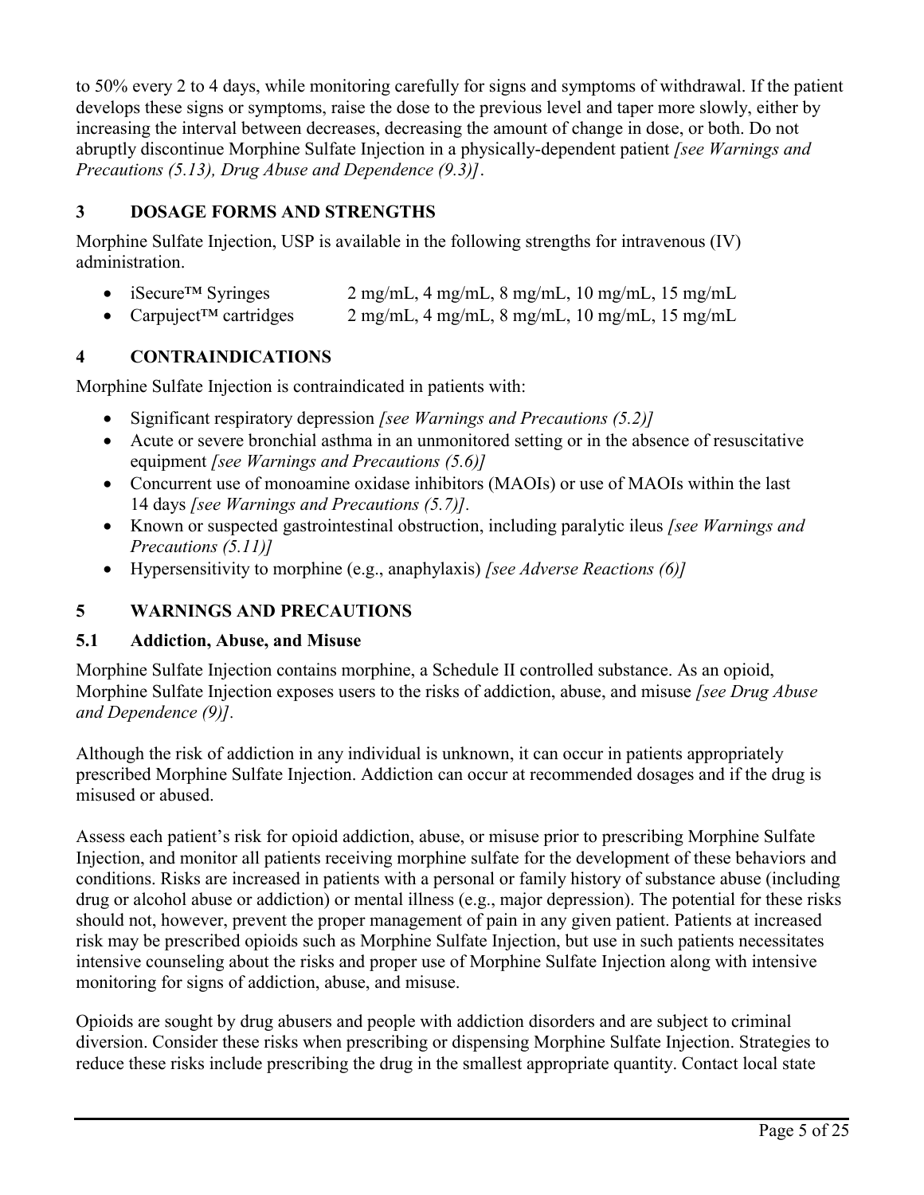to 50% every 2 to 4 days, while monitoring carefully for signs and symptoms of withdrawal. If the patient develops these signs or symptoms, raise the dose to the previous level and taper more slowly, either by increasing the interval between decreases, decreasing the amount of change in dose, or both. Do not abruptly discontinue Morphine Sulfate Injection in a physically-dependent patient *[see Warnings and Precautions (5.13), Drug Abuse and Dependence (9.3)]*.

## **3 DOSAGE FORMS AND STRENGTHS**

Morphine Sulfate Injection, USP is available in the following strengths for intravenous (IV) administration.

- iSecure<sup>TM</sup> Syringes  $2 \text{ mg/mL}$ ,  $4 \text{ mg/mL}$ ,  $8 \text{ mg/mL}$ ,  $10 \text{ mg/mL}$ ,  $15 \text{ mg/mL}$
- Carpuject™ cartridges 2 mg/mL, 4 mg/mL, 8 mg/mL, 10 mg/mL, 15 mg/mL

## **4 CONTRAINDICATIONS**

Morphine Sulfate Injection is contraindicated in patients with:

- Significant respiratory depression *[see Warnings and Precautions (5.2)]*
- Acute or severe bronchial asthma in an unmonitored setting or in the absence of resuscitative equipment *[see Warnings and Precautions (5.6)]*
- Concurrent use of monoamine oxidase inhibitors (MAOIs) or use of MAOIs within the last 14 days *[see Warnings and Precautions (5.7)].*
- Known or suspected gastrointestinal obstruction, including paralytic ileus *[see Warnings and Precautions (5.11)]*
- Hypersensitivity to morphine (e.g., anaphylaxis) *[see Adverse Reactions (6)]*

## **5 WARNINGS AND PRECAUTIONS**

## **5.1 Addiction, Abuse, and Misuse**

Morphine Sulfate Injection contains morphine, a Schedule II controlled substance. As an opioid, Morphine Sulfate Injection exposes users to the risks of addiction, abuse, and misuse *[see Drug Abuse and Dependence (9)].*

Although the risk of addiction in any individual is unknown, it can occur in patients appropriately prescribed Morphine Sulfate Injection. Addiction can occur at recommended dosages and if the drug is misused or abused.

Assess each patient's risk for opioid addiction, abuse, or misuse prior to prescribing Morphine Sulfate Injection, and monitor all patients receiving morphine sulfate for the development of these behaviors and conditions. Risks are increased in patients with a personal or family history of substance abuse (including drug or alcohol abuse or addiction) or mental illness (e.g., major depression). The potential for these risks should not, however, prevent the proper management of pain in any given patient. Patients at increased risk may be prescribed opioids such as Morphine Sulfate Injection, but use in such patients necessitates intensive counseling about the risks and proper use of Morphine Sulfate Injection along with intensive monitoring for signs of addiction, abuse, and misuse.

Opioids are sought by drug abusers and people with addiction disorders and are subject to criminal diversion. Consider these risks when prescribing or dispensing Morphine Sulfate Injection. Strategies to reduce these risks include prescribing the drug in the smallest appropriate quantity. Contact local state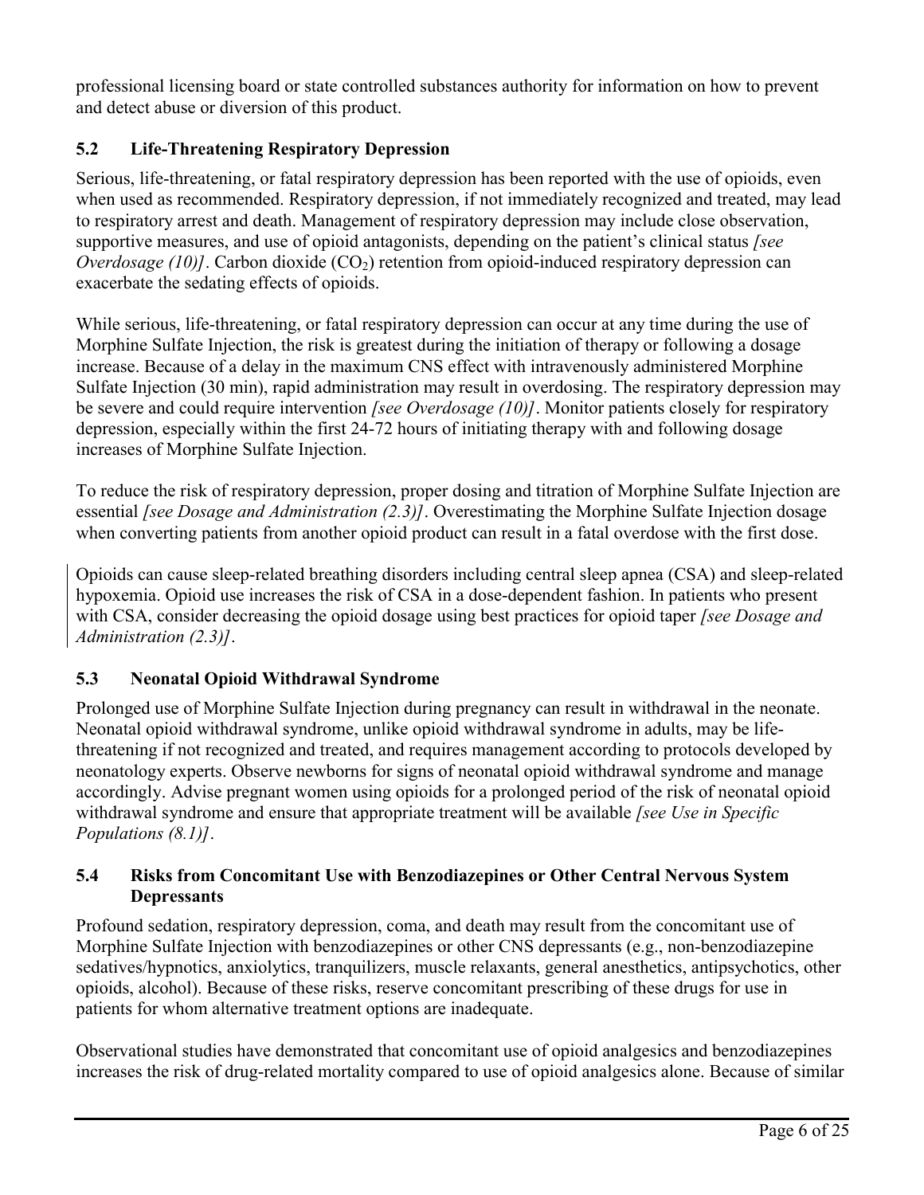professional licensing board or state controlled substances authority for information on how to prevent and detect abuse or diversion of this product.

## **5.2 Life-Threatening Respiratory Depression**

Serious, life-threatening, or fatal respiratory depression has been reported with the use of opioids, even when used as recommended. Respiratory depression, if not immediately recognized and treated, may lead to respiratory arrest and death. Management of respiratory depression may include close observation, supportive measures, and use of opioid antagonists, depending on the patient's clinical status *[see Overdosage (10)]*. Carbon dioxide (CO<sub>2</sub>) retention from opioid-induced respiratory depression can exacerbate the sedating effects of opioids.

While serious, life-threatening, or fatal respiratory depression can occur at any time during the use of Morphine Sulfate Injection, the risk is greatest during the initiation of therapy or following a dosage increase. Because of a delay in the maximum CNS effect with intravenously administered Morphine Sulfate Injection (30 min), rapid administration may result in overdosing. The respiratory depression may be severe and could require intervention *[see Overdosage (10)]*. Monitor patients closely for respiratory depression, especially within the first 24-72 hours of initiating therapy with and following dosage increases of Morphine Sulfate Injection.

To reduce the risk of respiratory depression, proper dosing and titration of Morphine Sulfate Injection are essential *[see Dosage and Administration (2.3)]*. Overestimating the Morphine Sulfate Injection dosage when converting patients from another opioid product can result in a fatal overdose with the first dose.

Opioids can cause sleep-related breathing disorders including central sleep apnea (CSA) and sleep-related hypoxemia. Opioid use increases the risk of CSA in a dose-dependent fashion. In patients who present with CSA, consider decreasing the opioid dosage using best practices for opioid taper *[see Dosage and Administration (2.3)]*.

## **5.3 Neonatal Opioid Withdrawal Syndrome**

Prolonged use of Morphine Sulfate Injection during pregnancy can result in withdrawal in the neonate. Neonatal opioid withdrawal syndrome, unlike opioid withdrawal syndrome in adults, may be lifethreatening if not recognized and treated, and requires management according to protocols developed by neonatology experts. Observe newborns for signs of neonatal opioid withdrawal syndrome and manage accordingly. Advise pregnant women using opioids for a prolonged period of the risk of neonatal opioid withdrawal syndrome and ensure that appropriate treatment will be available *[see Use in Specific Populations (8.1)]*.

## **5.4 Risks from Concomitant Use with Benzodiazepines or Other Central Nervous System Depressants**

Profound sedation, respiratory depression, coma, and death may result from the concomitant use of Morphine Sulfate Injection with benzodiazepines or other CNS depressants (e.g., non-benzodiazepine sedatives/hypnotics, anxiolytics, tranquilizers, muscle relaxants, general anesthetics, antipsychotics, other opioids, alcohol). Because of these risks, reserve concomitant prescribing of these drugs for use in patients for whom alternative treatment options are inadequate.

Observational studies have demonstrated that concomitant use of opioid analgesics and benzodiazepines increases the risk of drug-related mortality compared to use of opioid analgesics alone. Because of similar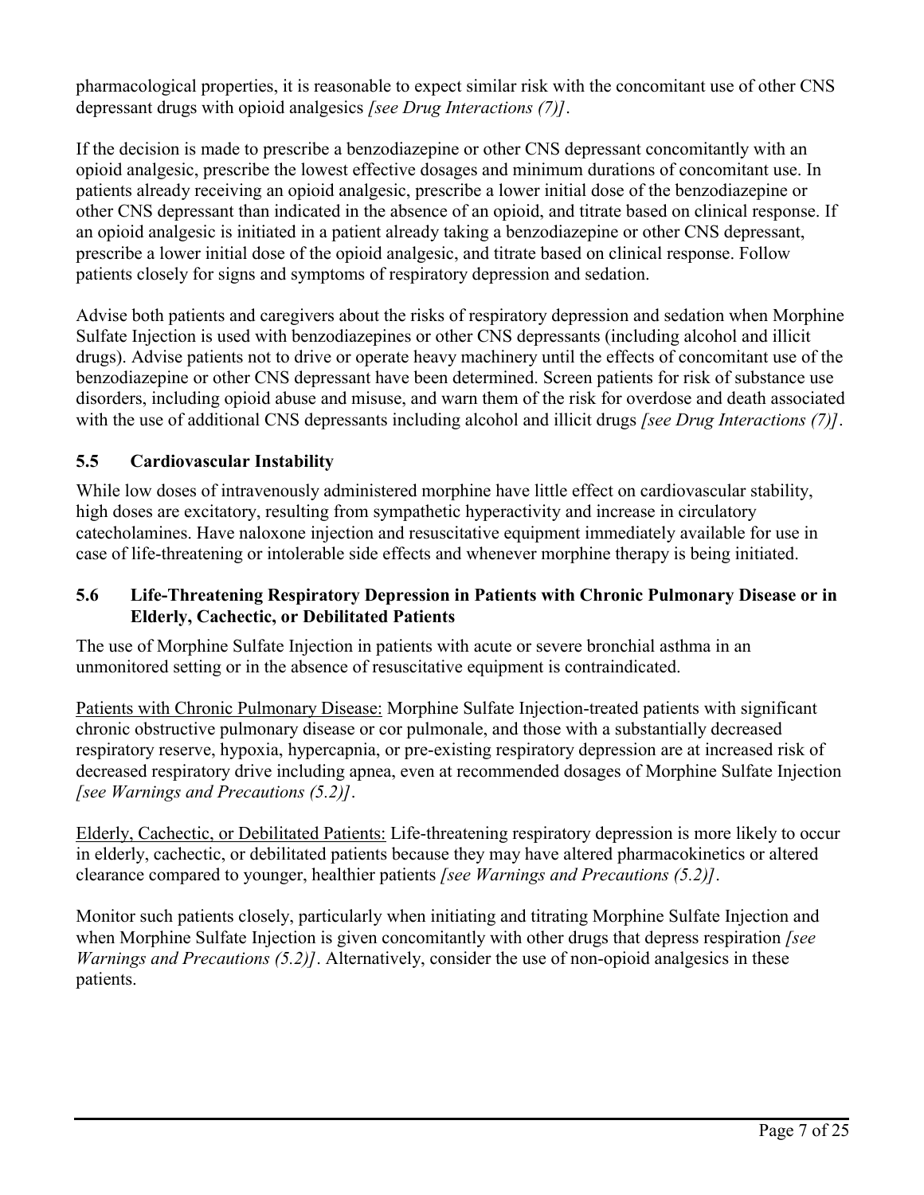pharmacological properties, it is reasonable to expect similar risk with the concomitant use of other CNS depressant drugs with opioid analgesics *[see Drug Interactions (7)]*.

If the decision is made to prescribe a benzodiazepine or other CNS depressant concomitantly with an opioid analgesic, prescribe the lowest effective dosages and minimum durations of concomitant use. In patients already receiving an opioid analgesic, prescribe a lower initial dose of the benzodiazepine or other CNS depressant than indicated in the absence of an opioid, and titrate based on clinical response. If an opioid analgesic is initiated in a patient already taking a benzodiazepine or other CNS depressant, prescribe a lower initial dose of the opioid analgesic, and titrate based on clinical response. Follow patients closely for signs and symptoms of respiratory depression and sedation.

Advise both patients and caregivers about the risks of respiratory depression and sedation when Morphine Sulfate Injection is used with benzodiazepines or other CNS depressants (including alcohol and illicit drugs). Advise patients not to drive or operate heavy machinery until the effects of concomitant use of the benzodiazepine or other CNS depressant have been determined. Screen patients for risk of substance use disorders, including opioid abuse and misuse, and warn them of the risk for overdose and death associated with the use of additional CNS depressants including alcohol and illicit drugs *[see Drug Interactions (7)]*.

## **5.5 Cardiovascular Instability**

While low doses of intravenously administered morphine have little effect on cardiovascular stability, high doses are excitatory, resulting from sympathetic hyperactivity and increase in circulatory catecholamines. Have naloxone injection and resuscitative equipment immediately available for use in case of life-threatening or intolerable side effects and whenever morphine therapy is being initiated.

#### **5.6 Life-Threatening Respiratory Depression in Patients with Chronic Pulmonary Disease or in Elderly, Cachectic, or Debilitated Patients**

The use of Morphine Sulfate Injection in patients with acute or severe bronchial asthma in an unmonitored setting or in the absence of resuscitative equipment is contraindicated.

Patients with Chronic Pulmonary Disease: Morphine Sulfate Injection-treated patients with significant chronic obstructive pulmonary disease or cor pulmonale, and those with a substantially decreased respiratory reserve, hypoxia, hypercapnia, or pre-existing respiratory depression are at increased risk of decreased respiratory drive including apnea, even at recommended dosages of Morphine Sulfate Injection *[see Warnings and Precautions (5.2)]*.

Elderly, Cachectic, or Debilitated Patients: Life-threatening respiratory depression is more likely to occur in elderly, cachectic, or debilitated patients because they may have altered pharmacokinetics or altered clearance compared to younger, healthier patients *[see Warnings and Precautions (5.2)]*.

Monitor such patients closely, particularly when initiating and titrating Morphine Sulfate Injection and when Morphine Sulfate Injection is given concomitantly with other drugs that depress respiration *[see Warnings and Precautions (5.2)]*. Alternatively, consider the use of non-opioid analgesics in these patients.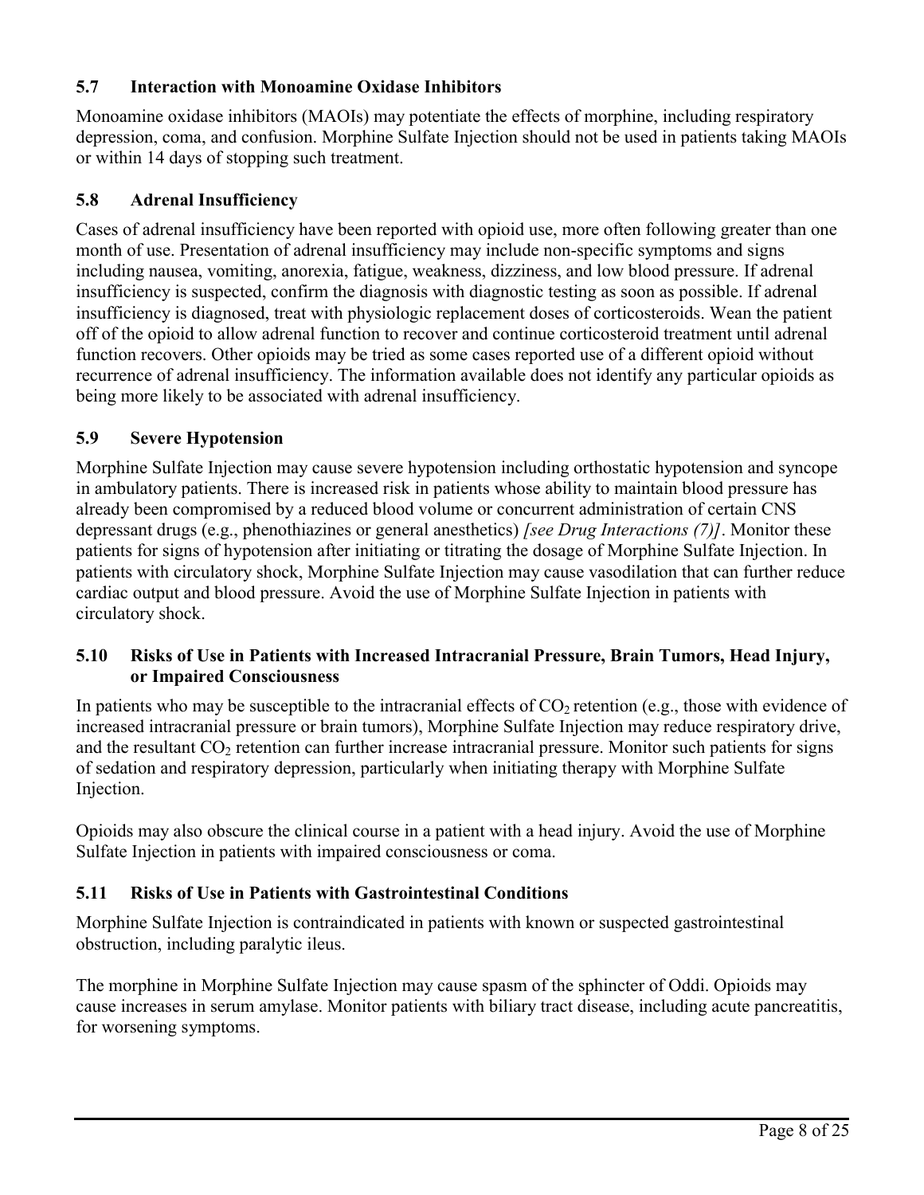## **5.7 Interaction with Monoamine Oxidase Inhibitors**

Monoamine oxidase inhibitors (MAOIs) may potentiate the effects of morphine, including respiratory depression, coma, and confusion. Morphine Sulfate Injection should not be used in patients taking MAOIs or within 14 days of stopping such treatment.

### **5.8 Adrenal Insufficiency**

Cases of adrenal insufficiency have been reported with opioid use, more often following greater than one month of use. Presentation of adrenal insufficiency may include non-specific symptoms and signs including nausea, vomiting, anorexia, fatigue, weakness, dizziness, and low blood pressure. If adrenal insufficiency is suspected, confirm the diagnosis with diagnostic testing as soon as possible. If adrenal insufficiency is diagnosed, treat with physiologic replacement doses of corticosteroids. Wean the patient off of the opioid to allow adrenal function to recover and continue corticosteroid treatment until adrenal function recovers. Other opioids may be tried as some cases reported use of a different opioid without recurrence of adrenal insufficiency. The information available does not identify any particular opioids as being more likely to be associated with adrenal insufficiency.

### **5.9 Severe Hypotension**

Morphine Sulfate Injection may cause severe hypotension including orthostatic hypotension and syncope in ambulatory patients. There is increased risk in patients whose ability to maintain blood pressure has already been compromised by a reduced blood volume or concurrent administration of certain CNS depressant drugs (e.g., phenothiazines or general anesthetics) *[see Drug Interactions (7)]*. Monitor these patients for signs of hypotension after initiating or titrating the dosage of Morphine Sulfate Injection. In patients with circulatory shock, Morphine Sulfate Injection may cause vasodilation that can further reduce cardiac output and blood pressure. Avoid the use of Morphine Sulfate Injection in patients with circulatory shock.

## **5.10 Risks of Use in Patients with Increased Intracranial Pressure, Brain Tumors, Head Injury, or Impaired Consciousness**

In patients who may be susceptible to the intracranial effects of  $CO<sub>2</sub>$  retention (e.g., those with evidence of increased intracranial pressure or brain tumors), Morphine Sulfate Injection may reduce respiratory drive, and the resultant  $CO<sub>2</sub>$  retention can further increase intracranial pressure. Monitor such patients for signs of sedation and respiratory depression, particularly when initiating therapy with Morphine Sulfate Injection.

Opioids may also obscure the clinical course in a patient with a head injury. Avoid the use of Morphine Sulfate Injection in patients with impaired consciousness or coma.

### **5.11 Risks of Use in Patients with Gastrointestinal Conditions**

Morphine Sulfate Injection is contraindicated in patients with known or suspected gastrointestinal obstruction, including paralytic ileus.

The morphine in Morphine Sulfate Injection may cause spasm of the sphincter of Oddi. Opioids may cause increases in serum amylase. Monitor patients with biliary tract disease, including acute pancreatitis, for worsening symptoms.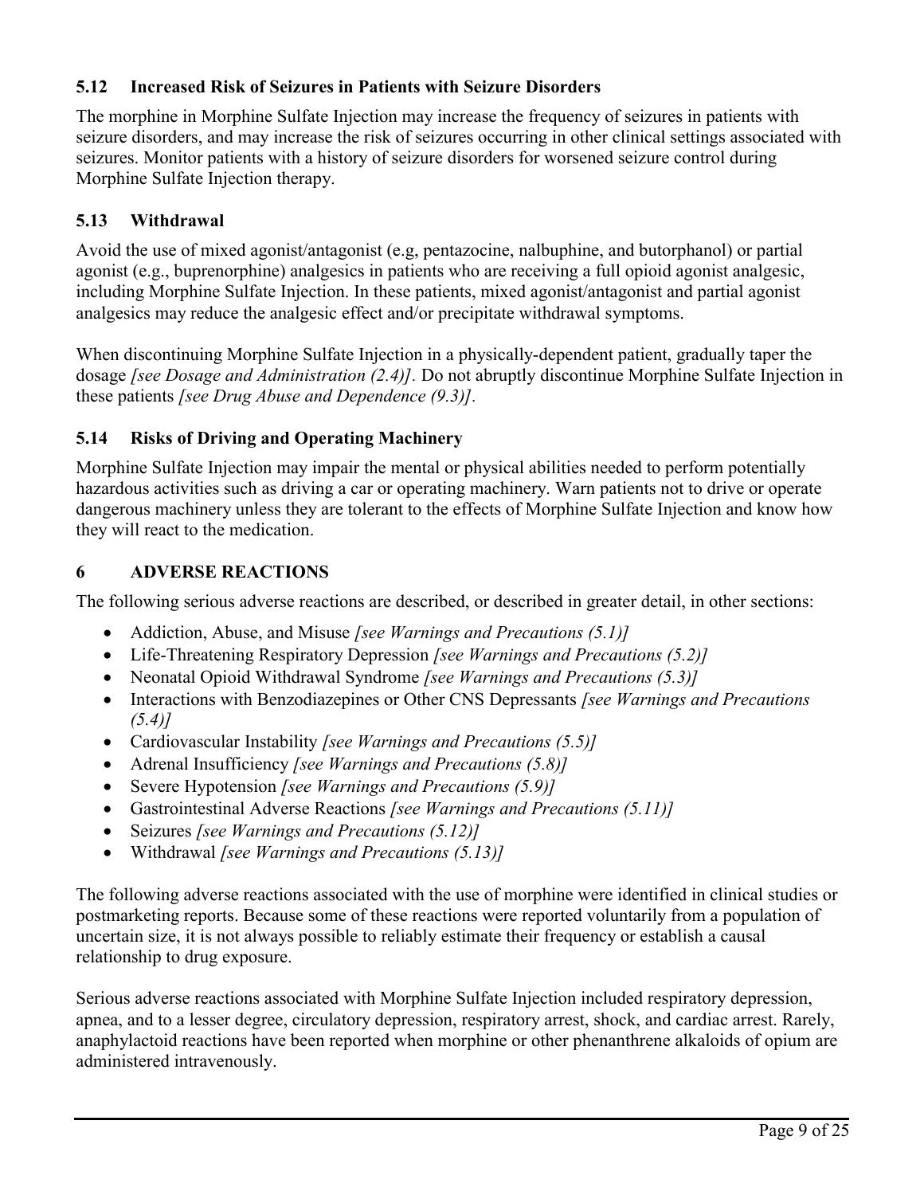## **5.12 Increased Risk of Seizures in Patients with Seizure Disorders**

The morphine in Morphine Sulfate Injection may increase the frequency of seizures in patients with seizure disorders, and may increase the risk of seizures occurring in other clinical settings associated with seizures. Monitor patients with a history of seizure disorders for worsened seizure control during Morphine Sulfate Injection therapy.

## **5.13 Withdrawal**

Avoid the use of mixed agonist/antagonist (e.g, pentazocine, nalbuphine, and butorphanol) or partial agonist (e.g., buprenorphine) analgesics in patients who are receiving a full opioid agonist analgesic, including Morphine Sulfate Injection. In these patients, mixed agonist/antagonist and partial agonist analgesics may reduce the analgesic effect and/or precipitate withdrawal symptoms.

When discontinuing Morphine Sulfate Injection in a physically-dependent patient, gradually taper the dosage *[see Dosage and Administration (2.4)].* Do not abruptly discontinue Morphine Sulfate Injection in these patients *[see Drug Abuse and Dependence (9.3)].* 

### **5.14 Risks of Driving and Operating Machinery**

Morphine Sulfate Injection may impair the mental or physical abilities needed to perform potentially hazardous activities such as driving a car or operating machinery. Warn patients not to drive or operate dangerous machinery unless they are tolerant to the effects of Morphine Sulfate Injection and know how they will react to the medication.

### **6 ADVERSE REACTIONS**

The following serious adverse reactions are described, or described in greater detail, in other sections:

- Addiction, Abuse, and Misuse *[see Warnings and Precautions (5.1)]*
- Life-Threatening Respiratory Depression *[see Warnings and Precautions (5.2)]*
- Neonatal Opioid Withdrawal Syndrome *[see Warnings and Precautions (5.3)]*
- Interactions with Benzodiazepines or Other CNS Depressants *[see Warnings and Precautions (5.4)]*
- Cardiovascular Instability *[see Warnings and Precautions (5.5)]*
- Adrenal Insufficiency *[see Warnings and Precautions (5.8)]*
- Severe Hypotension *[see Warnings and Precautions (5.9)]*
- Gastrointestinal Adverse Reactions *[see Warnings and Precautions (5.11)]*
- Seizures *[see Warnings and Precautions (5.12)]*
- Withdrawal *[see Warnings and Precautions (5.13)]*

The following adverse reactions associated with the use of morphine were identified in clinical studies or postmarketing reports. Because some of these reactions were reported voluntarily from a population of uncertain size, it is not always possible to reliably estimate their frequency or establish a causal relationship to drug exposure.

Serious adverse reactions associated with Morphine Sulfate Injection included respiratory depression, apnea, and to a lesser degree, circulatory depression, respiratory arrest, shock, and cardiac arrest. Rarely, anaphylactoid reactions have been reported when morphine or other phenanthrene alkaloids of opium are administered intravenously.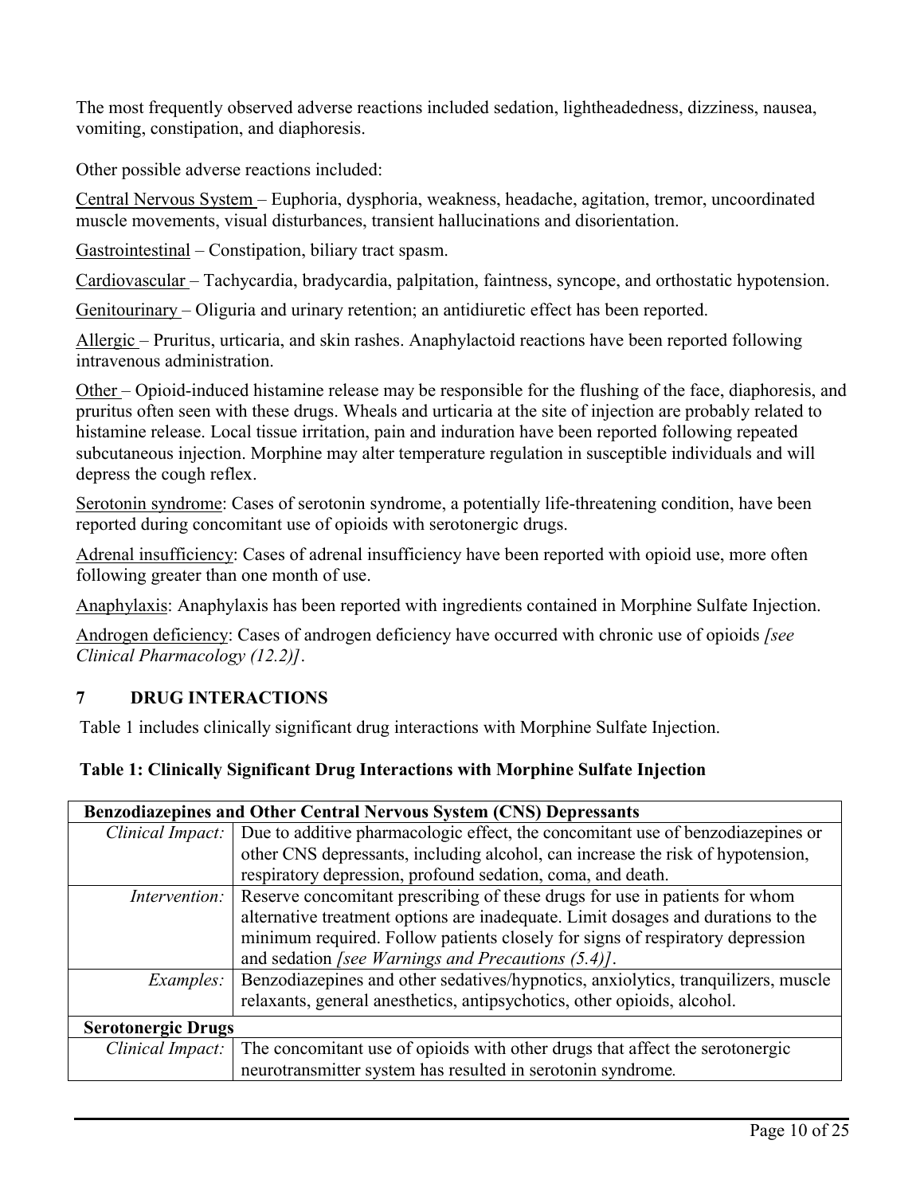The most frequently observed adverse reactions included sedation, lightheadedness, dizziness, nausea, vomiting, constipation, and diaphoresis.

Other possible adverse reactions included:

Central Nervous System – Euphoria, dysphoria, weakness, headache, agitation, tremor, uncoordinated muscle movements, visual disturbances, transient hallucinations and disorientation.

Gastrointestinal – Constipation, biliary tract spasm.

Cardiovascular – Tachycardia, bradycardia, palpitation, faintness, syncope, and orthostatic hypotension.

Genitourinary – Oliguria and urinary retention; an antidiuretic effect has been reported.

Allergic – Pruritus, urticaria, and skin rashes. Anaphylactoid reactions have been reported following intravenous administration.

Other – Opioid-induced histamine release may be responsible for the flushing of the face, diaphoresis, and pruritus often seen with these drugs. Wheals and urticaria at the site of injection are probably related to histamine release. Local tissue irritation, pain and induration have been reported following repeated subcutaneous injection. Morphine may alter temperature regulation in susceptible individuals and will depress the cough reflex.

Serotonin syndrome: Cases of serotonin syndrome, a potentially life-threatening condition, have been reported during concomitant use of opioids with serotonergic drugs.

Adrenal insufficiency: Cases of adrenal insufficiency have been reported with opioid use, more often following greater than one month of use.

Anaphylaxis: Anaphylaxis has been reported with ingredients contained in Morphine Sulfate Injection.

Androgen deficiency: Cases of androgen deficiency have occurred with chronic use of opioids *[see Clinical Pharmacology (12.2)]*.

## **7 DRUG INTERACTIONS**

Table 1 includes clinically significant drug interactions with Morphine Sulfate Injection.

### **Table 1: Clinically Significant Drug Interactions with Morphine Sulfate Injection**

| <b>Benzodiazepines and Other Central Nervous System (CNS) Depressants</b> |                                                                                   |  |
|---------------------------------------------------------------------------|-----------------------------------------------------------------------------------|--|
| Clinical Impact:                                                          | Due to additive pharmacologic effect, the concomitant use of benzodiazepines or   |  |
|                                                                           | other CNS depressants, including alcohol, can increase the risk of hypotension,   |  |
|                                                                           | respiratory depression, profound sedation, coma, and death.                       |  |
| Intervention:                                                             | Reserve concomitant prescribing of these drugs for use in patients for whom       |  |
|                                                                           | alternative treatment options are inadequate. Limit dosages and durations to the  |  |
|                                                                           | minimum required. Follow patients closely for signs of respiratory depression     |  |
|                                                                           | and sedation [see Warnings and Precautions (5.4)].                                |  |
| Examples:                                                                 | Benzodiazepines and other sedatives/hypnotics, anxiolytics, tranquilizers, muscle |  |
|                                                                           | relaxants, general anesthetics, antipsychotics, other opioids, alcohol.           |  |
| <b>Serotonergic Drugs</b>                                                 |                                                                                   |  |
| Clinical Impact:                                                          | The concomitant use of opioids with other drugs that affect the serotonergic      |  |
|                                                                           | neurotransmitter system has resulted in serotonin syndrome.                       |  |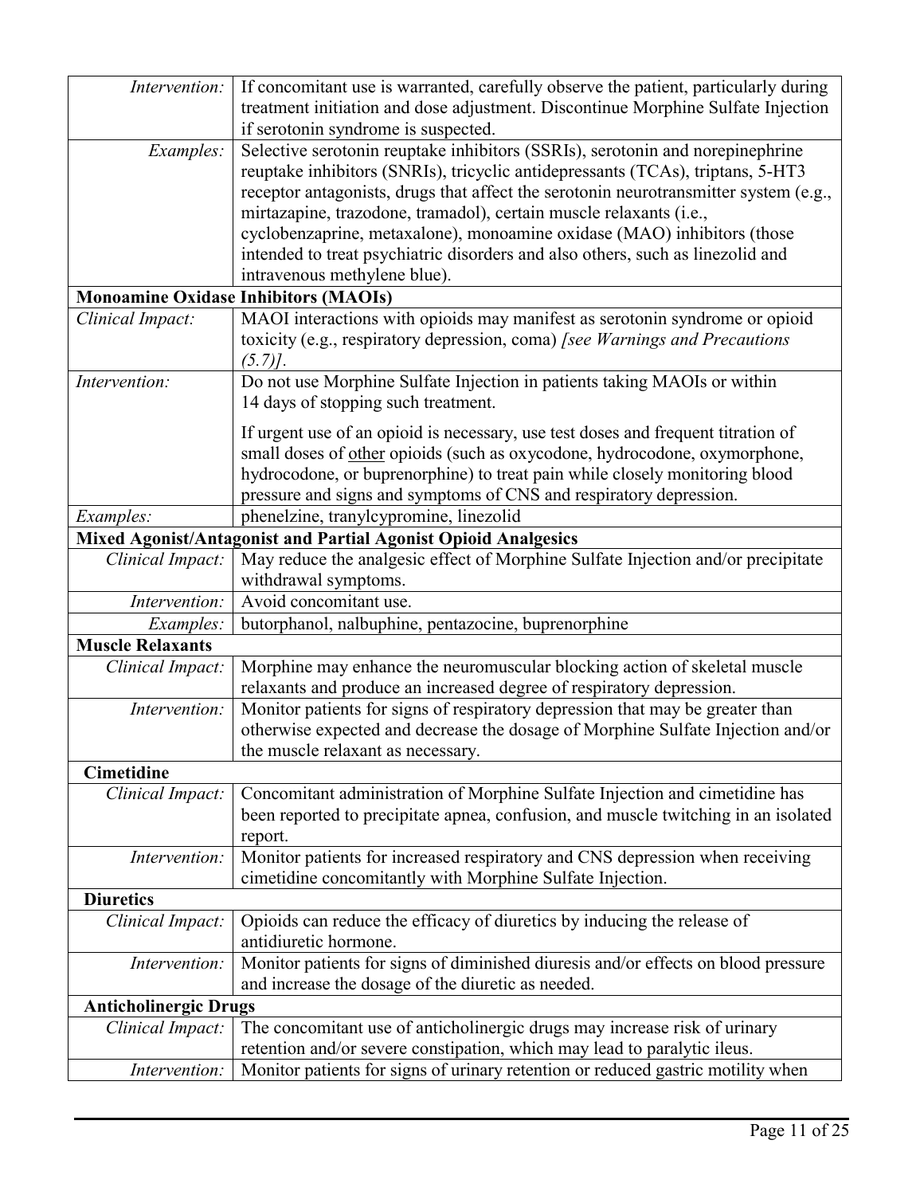| Intervention:                | If concomitant use is warranted, carefully observe the patient, particularly during  |
|------------------------------|--------------------------------------------------------------------------------------|
|                              | treatment initiation and dose adjustment. Discontinue Morphine Sulfate Injection     |
|                              | if serotonin syndrome is suspected.                                                  |
| Examples:                    | Selective serotonin reuptake inhibitors (SSRIs), serotonin and norepinephrine        |
|                              | reuptake inhibitors (SNRIs), tricyclic antidepressants (TCAs), triptans, 5-HT3       |
|                              | receptor antagonists, drugs that affect the serotonin neurotransmitter system (e.g., |
|                              | mirtazapine, trazodone, tramadol), certain muscle relaxants (i.e.,                   |
|                              | cyclobenzaprine, metaxalone), monoamine oxidase (MAO) inhibitors (those              |
|                              | intended to treat psychiatric disorders and also others, such as linezolid and       |
|                              | intravenous methylene blue).                                                         |
|                              | <b>Monoamine Oxidase Inhibitors (MAOIs)</b>                                          |
| Clinical Impact:             | MAOI interactions with opioids may manifest as serotonin syndrome or opioid          |
|                              | toxicity (e.g., respiratory depression, coma) [see Warnings and Precautions          |
|                              | $(5.7)$ .                                                                            |
| Intervention:                | Do not use Morphine Sulfate Injection in patients taking MAOIs or within             |
|                              | 14 days of stopping such treatment.                                                  |
|                              |                                                                                      |
|                              | If urgent use of an opioid is necessary, use test doses and frequent titration of    |
|                              | small doses of other opioids (such as oxycodone, hydrocodone, oxymorphone,           |
|                              | hydrocodone, or buprenorphine) to treat pain while closely monitoring blood          |
|                              | pressure and signs and symptoms of CNS and respiratory depression.                   |
| Examples:                    | phenelzine, tranylcypromine, linezolid                                               |
|                              | Mixed Agonist/Antagonist and Partial Agonist Opioid Analgesics                       |
| Clinical Impact:             | May reduce the analgesic effect of Morphine Sulfate Injection and/or precipitate     |
|                              | withdrawal symptoms.                                                                 |
| Intervention:                | Avoid concomitant use.                                                               |
| Examples:                    | butorphanol, nalbuphine, pentazocine, buprenorphine                                  |
| <b>Muscle Relaxants</b>      |                                                                                      |
| Clinical Impact:             | Morphine may enhance the neuromuscular blocking action of skeletal muscle            |
|                              | relaxants and produce an increased degree of respiratory depression.                 |
| Intervention:                | Monitor patients for signs of respiratory depression that may be greater than        |
|                              | otherwise expected and decrease the dosage of Morphine Sulfate Injection and/or      |
|                              | the muscle relaxant as necessary.                                                    |
| <b>Cimetidine</b>            |                                                                                      |
| Clinical Impact:             | Concomitant administration of Morphine Sulfate Injection and cimetidine has          |
|                              | been reported to precipitate apnea, confusion, and muscle twitching in an isolated   |
|                              | report.                                                                              |
| Intervention:                | Monitor patients for increased respiratory and CNS depression when receiving         |
|                              | cimetidine concomitantly with Morphine Sulfate Injection.                            |
| <b>Diuretics</b>             |                                                                                      |
| Clinical Impact:             | Opioids can reduce the efficacy of diuretics by inducing the release of              |
|                              | antidiuretic hormone.                                                                |
| Intervention:                | Monitor patients for signs of diminished diuresis and/or effects on blood pressure   |
|                              | and increase the dosage of the diuretic as needed.                                   |
| <b>Anticholinergic Drugs</b> |                                                                                      |
| Clinical Impact:             | The concomitant use of anticholinergic drugs may increase risk of urinary            |
|                              | retention and/or severe constipation, which may lead to paralytic ileus.             |
| Intervention:                | Monitor patients for signs of urinary retention or reduced gastric motility when     |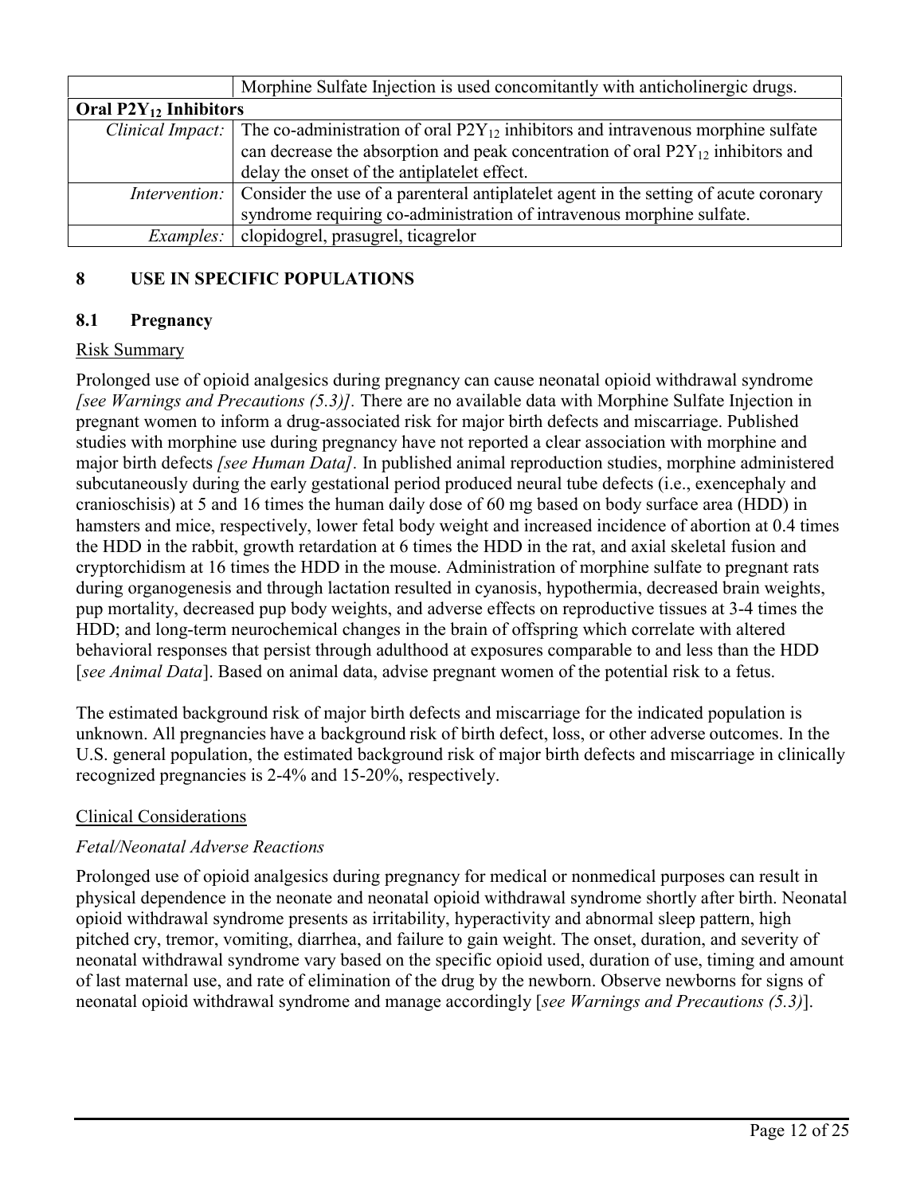|                            | Morphine Sulfate Injection is used concomitantly with anticholinergic drugs.                                 |  |
|----------------------------|--------------------------------------------------------------------------------------------------------------|--|
| Oral $P2Y_{12}$ Inhibitors |                                                                                                              |  |
|                            | <i>Clinical Impact:</i> The co-administration of oral $P2Y_{12}$ inhibitors and intravenous morphine sulfate |  |
|                            | can decrease the absorption and peak concentration of oral $P2Y_{12}$ inhibitors and                         |  |
|                            | delay the onset of the antiplatelet effect.                                                                  |  |
|                            | <i>Intervention:</i> Consider the use of a parenteral antiplatelet agent in the setting of acute coronary    |  |
|                            | syndrome requiring co-administration of intravenous morphine sulfate.                                        |  |
| Examples:                  | clopidogrel, prasugrel, ticagrelor                                                                           |  |

## **8 USE IN SPECIFIC POPULATIONS**

## **8.1 Pregnancy**

### Risk Summary

Prolonged use of opioid analgesics during pregnancy can cause neonatal opioid withdrawal syndrome *[see Warnings and Precautions (5.3)].* There are no available data with Morphine Sulfate Injection in pregnant women to inform a drug-associated risk for major birth defects and miscarriage. Published studies with morphine use during pregnancy have not reported a clear association with morphine and major birth defects *[see Human Data].* In published animal reproduction studies, morphine administered subcutaneously during the early gestational period produced neural tube defects (i.e., exencephaly and cranioschisis) at 5 and 16 times the human daily dose of 60 mg based on body surface area (HDD) in hamsters and mice, respectively, lower fetal body weight and increased incidence of abortion at 0.4 times the HDD in the rabbit, growth retardation at 6 times the HDD in the rat, and axial skeletal fusion and cryptorchidism at 16 times the HDD in the mouse. Administration of morphine sulfate to pregnant rats during organogenesis and through lactation resulted in cyanosis, hypothermia, decreased brain weights, pup mortality, decreased pup body weights, and adverse effects on reproductive tissues at 3-4 times the HDD; and long-term neurochemical changes in the brain of offspring which correlate with altered behavioral responses that persist through adulthood at exposures comparable to and less than the HDD [*see Animal Data*]. Based on animal data, advise pregnant women of the potential risk to a fetus.

The estimated background risk of major birth defects and miscarriage for the indicated population is unknown. All pregnancies have a background risk of birth defect, loss, or other adverse outcomes. In the U.S. general population, the estimated background risk of major birth defects and miscarriage in clinically recognized pregnancies is 2-4% and 15-20%, respectively.

### Clinical Considerations

### *Fetal/Neonatal Adverse Reactions*

Prolonged use of opioid analgesics during pregnancy for medical or nonmedical purposes can result in physical dependence in the neonate and neonatal opioid withdrawal syndrome shortly after birth. Neonatal opioid withdrawal syndrome presents as irritability, hyperactivity and abnormal sleep pattern, high pitched cry, tremor, vomiting, diarrhea, and failure to gain weight. The onset, duration, and severity of neonatal withdrawal syndrome vary based on the specific opioid used, duration of use, timing and amount of last maternal use, and rate of elimination of the drug by the newborn. Observe newborns for signs of neonatal opioid withdrawal syndrome and manage accordingly [*see Warnings and Precautions (5.3)*].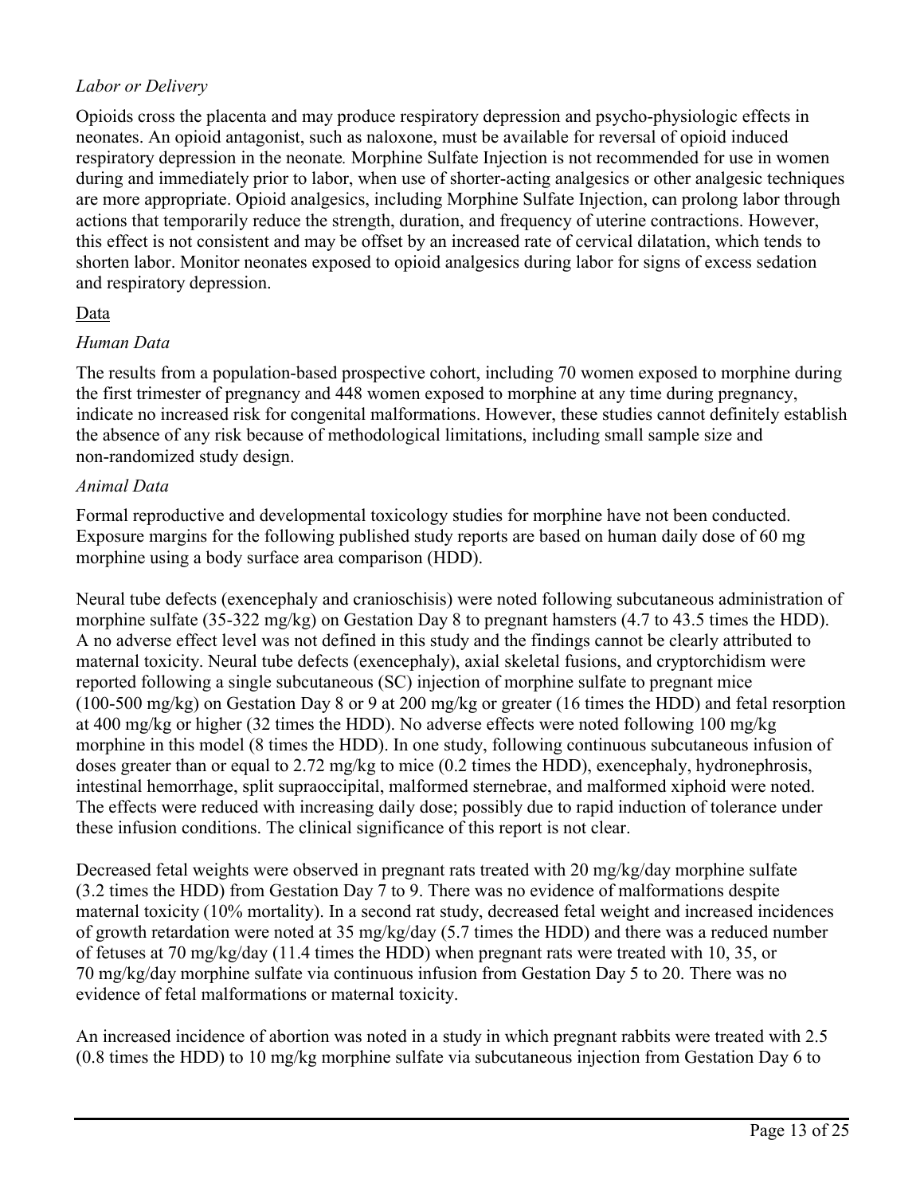### *Labor or Delivery*

Opioids cross the placenta and may produce respiratory depression and psycho-physiologic effects in neonates. An opioid antagonist, such as naloxone, must be available for reversal of opioid induced respiratory depression in the neonate*.* Morphine Sulfate Injection is not recommended for use in women during and immediately prior to labor, when use of shorter-acting analgesics or other analgesic techniques are more appropriate. Opioid analgesics, including Morphine Sulfate Injection, can prolong labor through actions that temporarily reduce the strength, duration, and frequency of uterine contractions. However, this effect is not consistent and may be offset by an increased rate of cervical dilatation, which tends to shorten labor. Monitor neonates exposed to opioid analgesics during labor for signs of excess sedation and respiratory depression.

### Data

#### *Human Data*

The results from a population-based prospective cohort, including 70 women exposed to morphine during the first trimester of pregnancy and 448 women exposed to morphine at any time during pregnancy, indicate no increased risk for congenital malformations. However, these studies cannot definitely establish the absence of any risk because of methodological limitations, including small sample size and non-randomized study design.

#### *Animal Data*

Formal reproductive and developmental toxicology studies for morphine have not been conducted. Exposure margins for the following published study reports are based on human daily dose of 60 mg morphine using a body surface area comparison (HDD).

Neural tube defects (exencephaly and cranioschisis) were noted following subcutaneous administration of morphine sulfate (35-322 mg/kg) on Gestation Day 8 to pregnant hamsters (4.7 to 43.5 times the HDD). A no adverse effect level was not defined in this study and the findings cannot be clearly attributed to maternal toxicity. Neural tube defects (exencephaly), axial skeletal fusions, and cryptorchidism were reported following a single subcutaneous (SC) injection of morphine sulfate to pregnant mice (100-500 mg/kg) on Gestation Day 8 or 9 at 200 mg/kg or greater (16 times the HDD) and fetal resorption at 400 mg/kg or higher (32 times the HDD). No adverse effects were noted following 100 mg/kg morphine in this model (8 times the HDD). In one study, following continuous subcutaneous infusion of doses greater than or equal to 2.72 mg/kg to mice (0.2 times the HDD), exencephaly, hydronephrosis, intestinal hemorrhage, split supraoccipital, malformed sternebrae, and malformed xiphoid were noted. The effects were reduced with increasing daily dose; possibly due to rapid induction of tolerance under these infusion conditions. The clinical significance of this report is not clear.

Decreased fetal weights were observed in pregnant rats treated with 20 mg/kg/day morphine sulfate (3.2 times the HDD) from Gestation Day 7 to 9. There was no evidence of malformations despite maternal toxicity (10% mortality). In a second rat study, decreased fetal weight and increased incidences of growth retardation were noted at 35 mg/kg/day (5.7 times the HDD) and there was a reduced number of fetuses at 70 mg/kg/day (11.4 times the HDD) when pregnant rats were treated with 10, 35, or 70 mg/kg/day morphine sulfate via continuous infusion from Gestation Day 5 to 20. There was no evidence of fetal malformations or maternal toxicity.

An increased incidence of abortion was noted in a study in which pregnant rabbits were treated with 2.5 (0.8 times the HDD) to 10 mg/kg morphine sulfate via subcutaneous injection from Gestation Day 6 to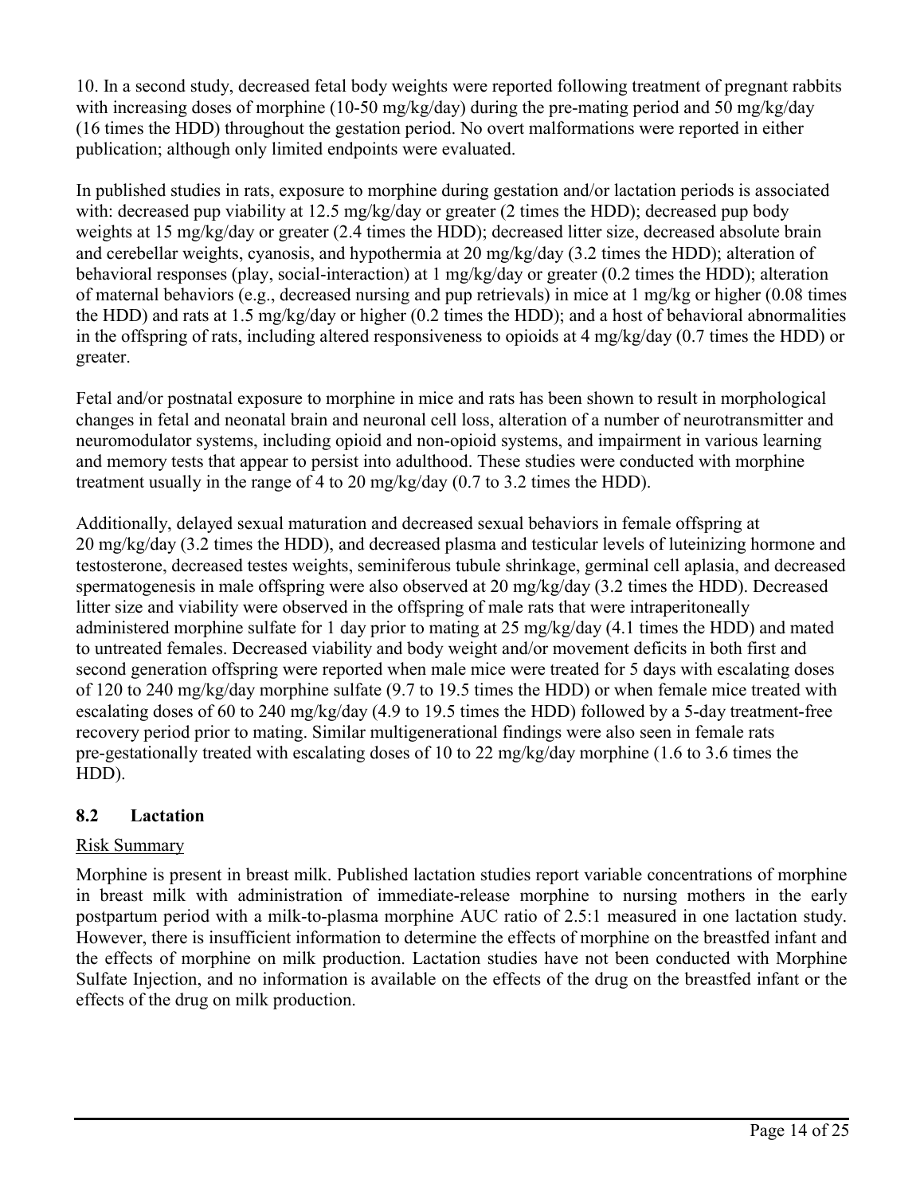10. In a second study, decreased fetal body weights were reported following treatment of pregnant rabbits with increasing doses of morphine (10-50 mg/kg/day) during the pre-mating period and 50 mg/kg/day (16 times the HDD) throughout the gestation period. No overt malformations were reported in either publication; although only limited endpoints were evaluated.

In published studies in rats, exposure to morphine during gestation and/or lactation periods is associated with: decreased pup viability at 12.5 mg/kg/day or greater (2 times the HDD); decreased pup body weights at 15 mg/kg/day or greater (2.4 times the HDD); decreased litter size, decreased absolute brain and cerebellar weights, cyanosis, and hypothermia at 20 mg/kg/day (3.2 times the HDD); alteration of behavioral responses (play, social-interaction) at 1 mg/kg/day or greater (0.2 times the HDD); alteration of maternal behaviors (e.g., decreased nursing and pup retrievals) in mice at 1 mg/kg or higher (0.08 times the HDD) and rats at 1.5 mg/kg/day or higher (0.2 times the HDD); and a host of behavioral abnormalities in the offspring of rats, including altered responsiveness to opioids at 4 mg/kg/day (0.7 times the HDD) or greater.

Fetal and/or postnatal exposure to morphine in mice and rats has been shown to result in morphological changes in fetal and neonatal brain and neuronal cell loss, alteration of a number of neurotransmitter and neuromodulator systems, including opioid and non-opioid systems, and impairment in various learning and memory tests that appear to persist into adulthood. These studies were conducted with morphine treatment usually in the range of 4 to 20 mg/kg/day (0.7 to 3.2 times the HDD).

Additionally, delayed sexual maturation and decreased sexual behaviors in female offspring at 20 mg/kg/day (3.2 times the HDD), and decreased plasma and testicular levels of luteinizing hormone and testosterone, decreased testes weights, seminiferous tubule shrinkage, germinal cell aplasia, and decreased spermatogenesis in male offspring were also observed at 20 mg/kg/day (3.2 times the HDD). Decreased litter size and viability were observed in the offspring of male rats that were intraperitoneally administered morphine sulfate for 1 day prior to mating at 25 mg/kg/day (4.1 times the HDD) and mated to untreated females. Decreased viability and body weight and/or movement deficits in both first and second generation offspring were reported when male mice were treated for 5 days with escalating doses of 120 to 240 mg/kg/day morphine sulfate (9.7 to 19.5 times the HDD) or when female mice treated with escalating doses of 60 to 240 mg/kg/day (4.9 to 19.5 times the HDD) followed by a 5-day treatment-free recovery period prior to mating. Similar multigenerational findings were also seen in female rats pre-gestationally treated with escalating doses of 10 to 22 mg/kg/day morphine (1.6 to 3.6 times the HDD).

## **8.2 Lactation**

## Risk Summary

Morphine is present in breast milk. Published lactation studies report variable concentrations of morphine in breast milk with administration of immediate-release morphine to nursing mothers in the early postpartum period with a milk-to-plasma morphine AUC ratio of 2.5:1 measured in one lactation study. However, there is insufficient information to determine the effects of morphine on the breastfed infant and the effects of morphine on milk production. Lactation studies have not been conducted with Morphine Sulfate Injection, and no information is available on the effects of the drug on the breastfed infant or the effects of the drug on milk production.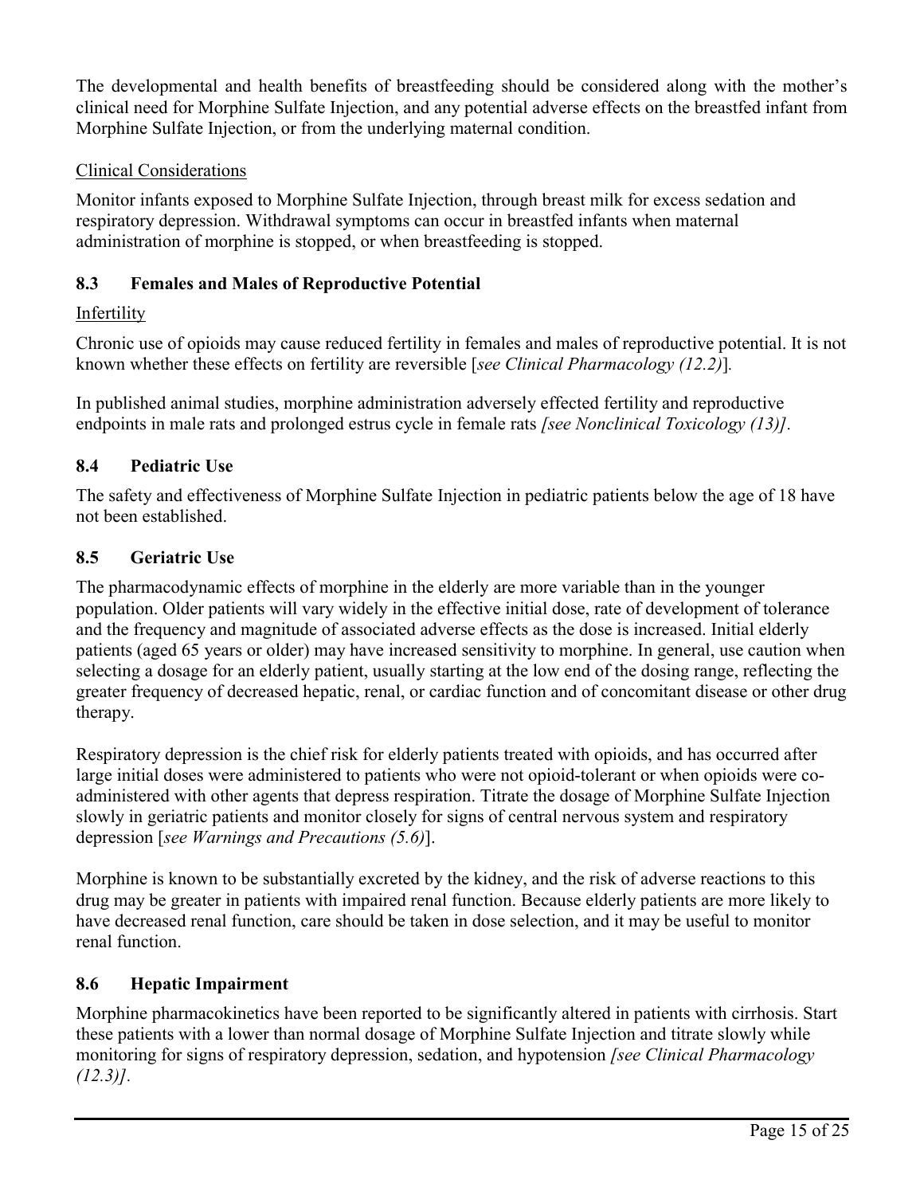The developmental and health benefits of breastfeeding should be considered along with the mother's clinical need for Morphine Sulfate Injection, and any potential adverse effects on the breastfed infant from Morphine Sulfate Injection, or from the underlying maternal condition.

## Clinical Considerations

Monitor infants exposed to Morphine Sulfate Injection, through breast milk for excess sedation and respiratory depression. Withdrawal symptoms can occur in breastfed infants when maternal administration of morphine is stopped, or when breastfeeding is stopped.

## **8.3 Females and Males of Reproductive Potential**

### **Infertility**

Chronic use of opioids may cause reduced fertility in females and males of reproductive potential. It is not known whether these effects on fertility are reversible [*see Clinical Pharmacology (12.2)*]*.*

In published animal studies, morphine administration adversely effected fertility and reproductive endpoints in male rats and prolonged estrus cycle in female rats *[see Nonclinical Toxicology (13)].*

## **8.4 Pediatric Use**

The safety and effectiveness of Morphine Sulfate Injection in pediatric patients below the age of 18 have not been established.

### **8.5 Geriatric Use**

The pharmacodynamic effects of morphine in the elderly are more variable than in the younger population. Older patients will vary widely in the effective initial dose, rate of development of tolerance and the frequency and magnitude of associated adverse effects as the dose is increased. Initial elderly patients (aged 65 years or older) may have increased sensitivity to morphine. In general, use caution when selecting a dosage for an elderly patient, usually starting at the low end of the dosing range, reflecting the greater frequency of decreased hepatic, renal, or cardiac function and of concomitant disease or other drug therapy.

Respiratory depression is the chief risk for elderly patients treated with opioids, and has occurred after large initial doses were administered to patients who were not opioid-tolerant or when opioids were coadministered with other agents that depress respiration. Titrate the dosage of Morphine Sulfate Injection slowly in geriatric patients and monitor closely for signs of central nervous system and respiratory depression [*see Warnings and Precautions (5.6)*].

Morphine is known to be substantially excreted by the kidney, and the risk of adverse reactions to this drug may be greater in patients with impaired renal function. Because elderly patients are more likely to have decreased renal function, care should be taken in dose selection, and it may be useful to monitor renal function.

### **8.6 Hepatic Impairment**

Morphine pharmacokinetics have been reported to be significantly altered in patients with cirrhosis. Start these patients with a lower than normal dosage of Morphine Sulfate Injection and titrate slowly while monitoring for signs of respiratory depression, sedation, and hypotension *[see Clinical Pharmacology (12.3)].*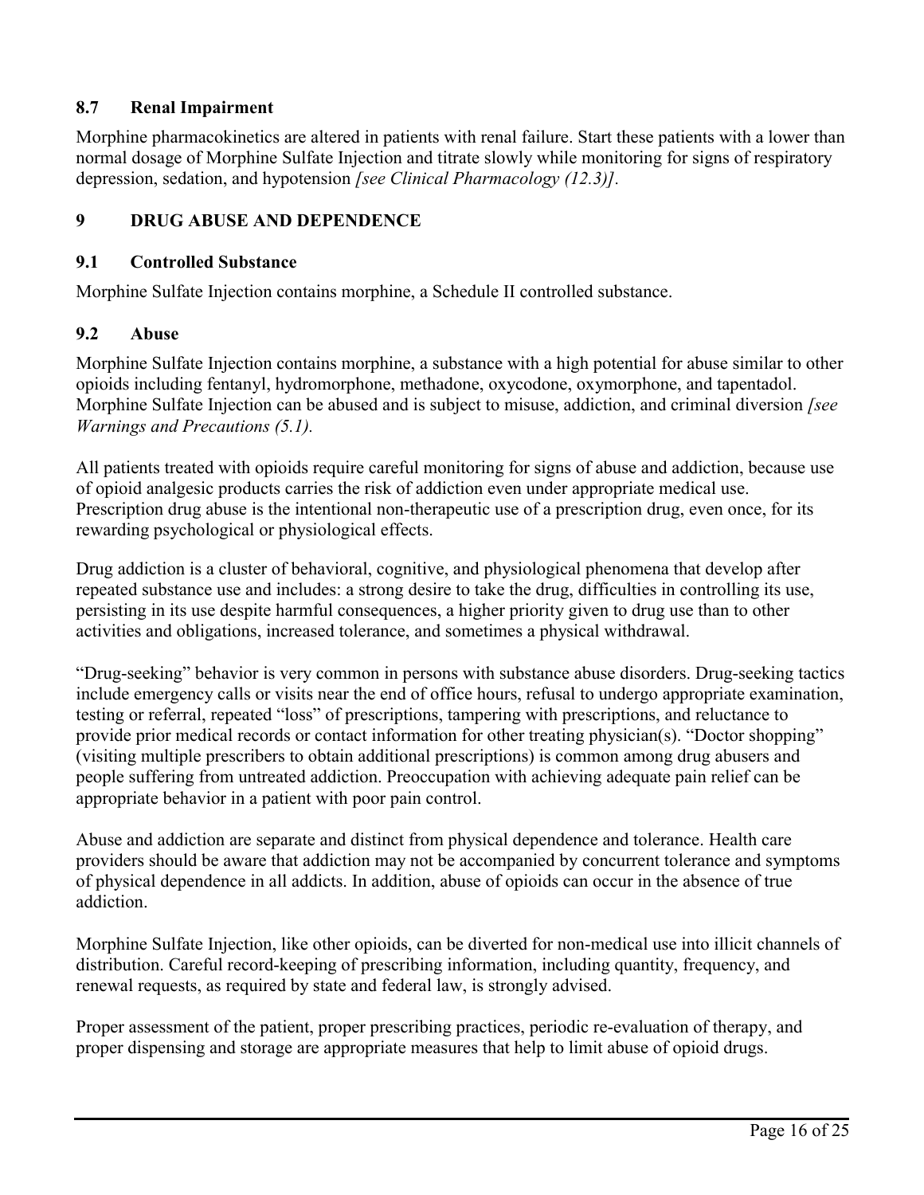## **8.7 Renal Impairment**

Morphine pharmacokinetics are altered in patients with renal failure. Start these patients with a lower than normal dosage of Morphine Sulfate Injection and titrate slowly while monitoring for signs of respiratory depression, sedation, and hypotension *[see Clinical Pharmacology (12.3)].*

### **9 DRUG ABUSE AND DEPENDENCE**

#### **9.1 Controlled Substance**

Morphine Sulfate Injection contains morphine, a Schedule II controlled substance.

### **9.2 Abuse**

Morphine Sulfate Injection contains morphine, a substance with a high potential for abuse similar to other opioids including fentanyl, hydromorphone, methadone, oxycodone, oxymorphone, and tapentadol. Morphine Sulfate Injection can be abused and is subject to misuse, addiction, and criminal diversion *[see Warnings and Precautions (5.1).* 

All patients treated with opioids require careful monitoring for signs of abuse and addiction, because use of opioid analgesic products carries the risk of addiction even under appropriate medical use. Prescription drug abuse is the intentional non-therapeutic use of a prescription drug, even once, for its rewarding psychological or physiological effects.

Drug addiction is a cluster of behavioral, cognitive, and physiological phenomena that develop after repeated substance use and includes: a strong desire to take the drug, difficulties in controlling its use, persisting in its use despite harmful consequences, a higher priority given to drug use than to other activities and obligations, increased tolerance, and sometimes a physical withdrawal.

"Drug-seeking" behavior is very common in persons with substance abuse disorders. Drug-seeking tactics include emergency calls or visits near the end of office hours, refusal to undergo appropriate examination, testing or referral, repeated "loss" of prescriptions, tampering with prescriptions, and reluctance to provide prior medical records or contact information for other treating physician(s). "Doctor shopping" (visiting multiple prescribers to obtain additional prescriptions) is common among drug abusers and people suffering from untreated addiction. Preoccupation with achieving adequate pain relief can be appropriate behavior in a patient with poor pain control.

Abuse and addiction are separate and distinct from physical dependence and tolerance. Health care providers should be aware that addiction may not be accompanied by concurrent tolerance and symptoms of physical dependence in all addicts. In addition, abuse of opioids can occur in the absence of true addiction.

Morphine Sulfate Injection, like other opioids, can be diverted for non-medical use into illicit channels of distribution. Careful record-keeping of prescribing information, including quantity, frequency, and renewal requests, as required by state and federal law, is strongly advised.

Proper assessment of the patient, proper prescribing practices, periodic re-evaluation of therapy, and proper dispensing and storage are appropriate measures that help to limit abuse of opioid drugs.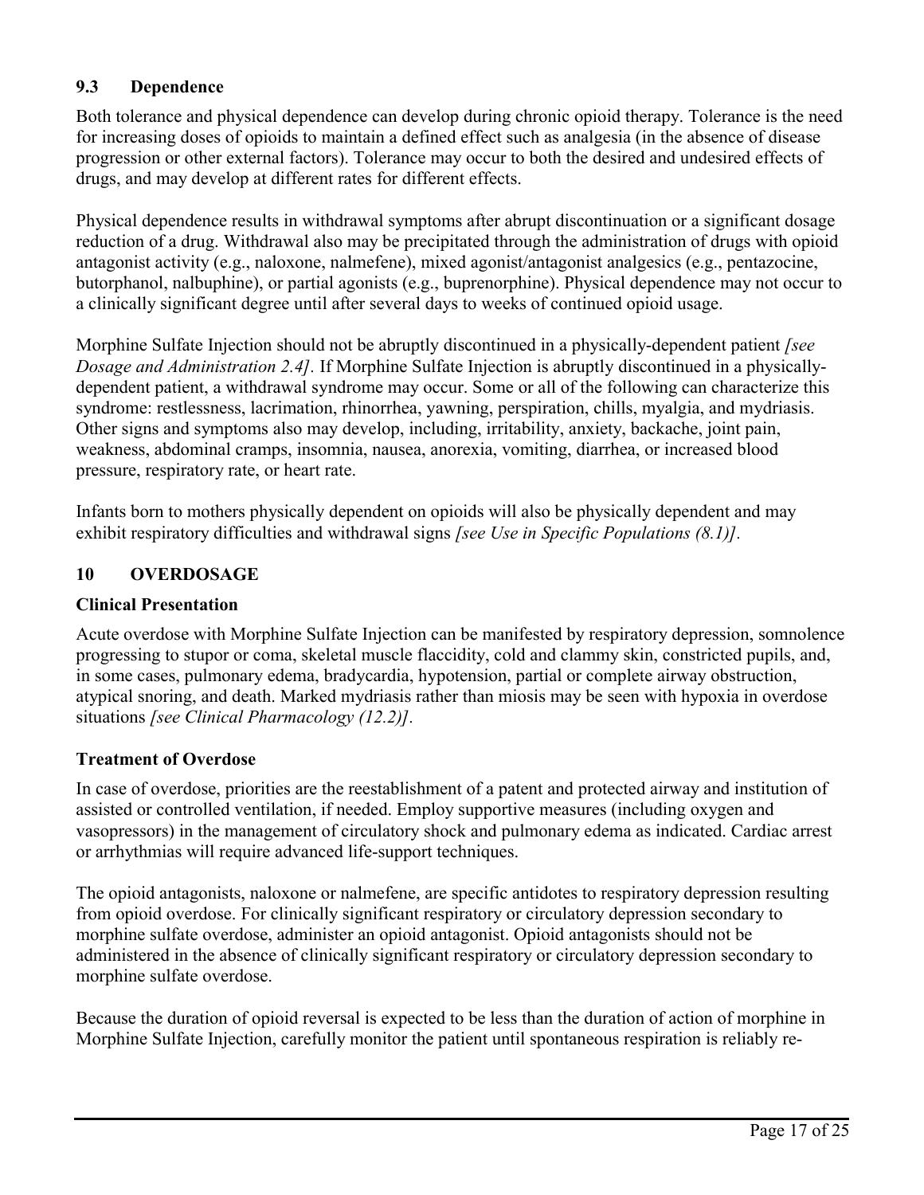## **9.3 Dependence**

Both tolerance and physical dependence can develop during chronic opioid therapy. Tolerance is the need for increasing doses of opioids to maintain a defined effect such as analgesia (in the absence of disease progression or other external factors). Tolerance may occur to both the desired and undesired effects of drugs, and may develop at different rates for different effects.

Physical dependence results in withdrawal symptoms after abrupt discontinuation or a significant dosage reduction of a drug. Withdrawal also may be precipitated through the administration of drugs with opioid antagonist activity (e.g., naloxone, nalmefene), mixed agonist/antagonist analgesics (e.g., pentazocine, butorphanol, nalbuphine), or partial agonists (e.g., buprenorphine). Physical dependence may not occur to a clinically significant degree until after several days to weeks of continued opioid usage.

Morphine Sulfate Injection should not be abruptly discontinued in a physically-dependent patient *[see Dosage and Administration 2.4].* If Morphine Sulfate Injection is abruptly discontinued in a physicallydependent patient, a withdrawal syndrome may occur. Some or all of the following can characterize this syndrome: restlessness, lacrimation, rhinorrhea, yawning, perspiration, chills, myalgia, and mydriasis. Other signs and symptoms also may develop, including, irritability, anxiety, backache, joint pain, weakness, abdominal cramps, insomnia, nausea, anorexia, vomiting, diarrhea, or increased blood pressure, respiratory rate, or heart rate.

Infants born to mothers physically dependent on opioids will also be physically dependent and may exhibit respiratory difficulties and withdrawal signs *[see Use in Specific Populations (8.1)].*

### **10 OVERDOSAGE**

### **Clinical Presentation**

Acute overdose with Morphine Sulfate Injection can be manifested by respiratory depression, somnolence progressing to stupor or coma, skeletal muscle flaccidity, cold and clammy skin, constricted pupils, and, in some cases, pulmonary edema, bradycardia, hypotension, partial or complete airway obstruction, atypical snoring, and death. Marked mydriasis rather than miosis may be seen with hypoxia in overdose situations *[see Clinical Pharmacology (12.2)].*

### **Treatment of Overdose**

In case of overdose, priorities are the reestablishment of a patent and protected airway and institution of assisted or controlled ventilation, if needed. Employ supportive measures (including oxygen and vasopressors) in the management of circulatory shock and pulmonary edema as indicated. Cardiac arrest or arrhythmias will require advanced life-support techniques.

The opioid antagonists, naloxone or nalmefene, are specific antidotes to respiratory depression resulting from opioid overdose. For clinically significant respiratory or circulatory depression secondary to morphine sulfate overdose, administer an opioid antagonist. Opioid antagonists should not be administered in the absence of clinically significant respiratory or circulatory depression secondary to morphine sulfate overdose.

Because the duration of opioid reversal is expected to be less than the duration of action of morphine in Morphine Sulfate Injection, carefully monitor the patient until spontaneous respiration is reliably re-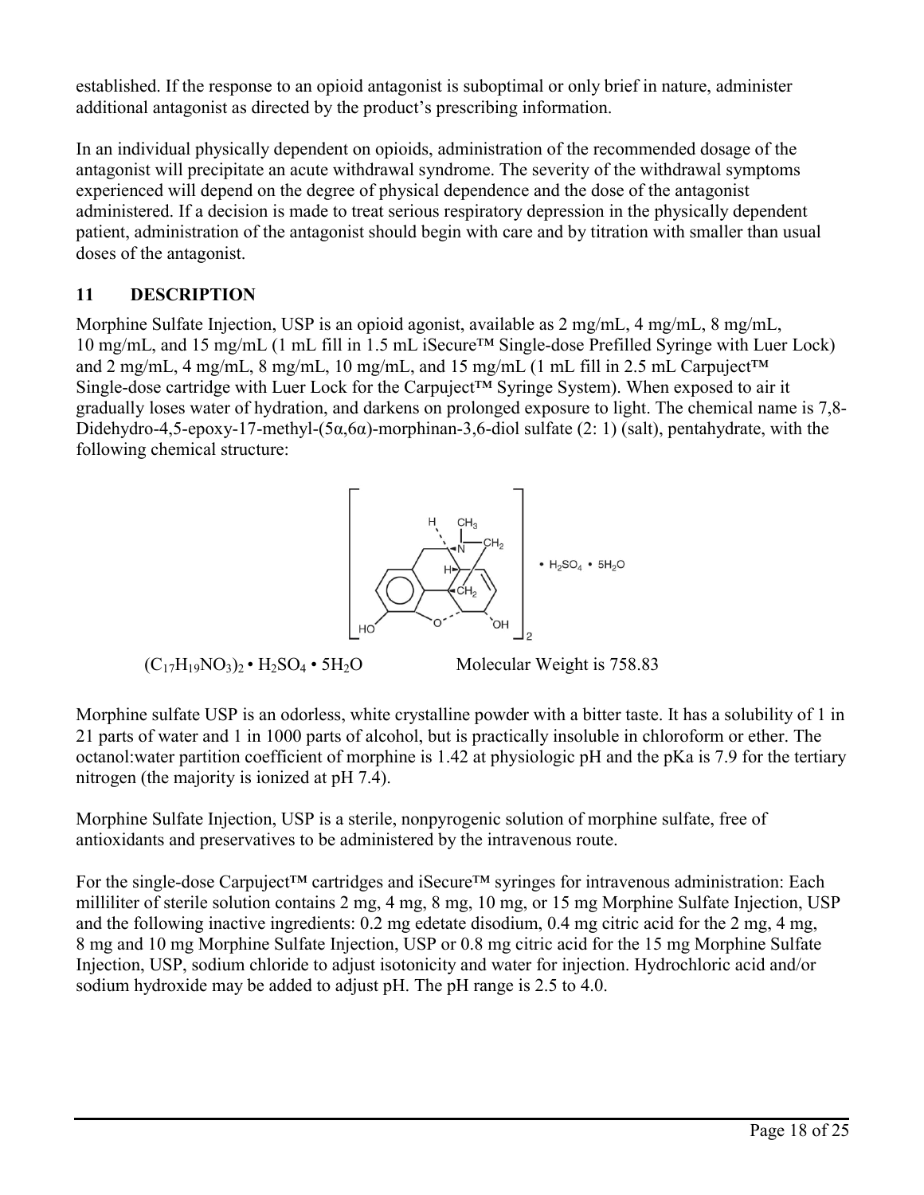established. If the response to an opioid antagonist is suboptimal or only brief in nature, administer additional antagonist as directed by the product's prescribing information.

In an individual physically dependent on opioids, administration of the recommended dosage of the antagonist will precipitate an acute withdrawal syndrome. The severity of the withdrawal symptoms experienced will depend on the degree of physical dependence and the dose of the antagonist administered. If a decision is made to treat serious respiratory depression in the physically dependent patient, administration of the antagonist should begin with care and by titration with smaller than usual doses of the antagonist.

## **11 DESCRIPTION**

Morphine Sulfate Injection, USP is an opioid agonist, available as 2 mg/mL, 4 mg/mL, 8 mg/mL, 10 mg/mL, and 15 mg/mL (1 mL fill in 1.5 mL iSecure™ Single-dose Prefilled Syringe with Luer Lock) and 2 mg/mL, 4 mg/mL, 8 mg/mL, 10 mg/mL, and 15 mg/mL (1 mL fill in 2.5 mL Carpuject<sup>TM</sup> Single-dose cartridge with Luer Lock for the Carpuject™ Syringe System). When exposed to air it gradually loses water of hydration, and darkens on prolonged exposure to light. The chemical name is 7,8- Didehydro-4,5-epoxy-17-methyl-(5 $\alpha$ ,6 $\alpha$ )-morphinan-3,6-diol sulfate (2: 1) (salt), pentahydrate, with the following chemical structure:



Morphine sulfate USP is an odorless, white crystalline powder with a bitter taste. It has a solubility of 1 in 21 parts of water and 1 in 1000 parts of alcohol, but is practically insoluble in chloroform or ether. The octanol:water partition coefficient of morphine is 1.42 at physiologic pH and the pKa is 7.9 for the tertiary nitrogen (the majority is ionized at pH 7.4).

Morphine Sulfate Injection, USP is a sterile, nonpyrogenic solution of morphine sulfate, free of antioxidants and preservatives to be administered by the intravenous route.

For the single-dose Carpuject™ cartridges and iSecure™ syringes for intravenous administration: Each milliliter of sterile solution contains 2 mg, 4 mg, 8 mg, 10 mg, or 15 mg Morphine Sulfate Injection, USP and the following inactive ingredients: 0.2 mg edetate disodium, 0.4 mg citric acid for the 2 mg, 4 mg, 8 mg and 10 mg Morphine Sulfate Injection, USP or 0.8 mg citric acid for the 15 mg Morphine Sulfate Injection, USP, sodium chloride to adjust isotonicity and water for injection. Hydrochloric acid and/or sodium hydroxide may be added to adjust pH. The pH range is 2.5 to 4.0.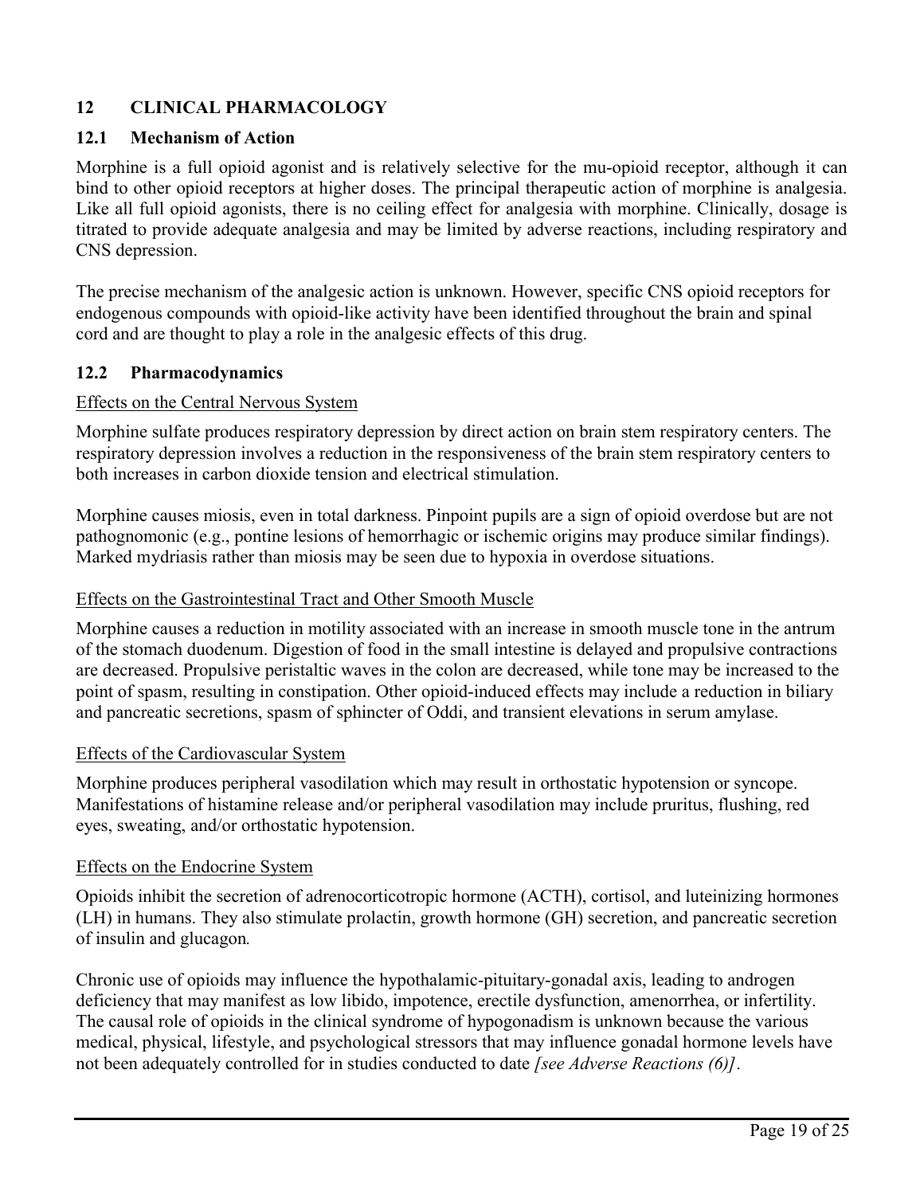## **12 CLINICAL PHARMACOLOGY**

#### **12.1 Mechanism of Action**

Morphine is a full opioid agonist and is relatively selective for the mu-opioid receptor, although it can bind to other opioid receptors at higher doses. The principal therapeutic action of morphine is analgesia. Like all full opioid agonists, there is no ceiling effect for analgesia with morphine. Clinically, dosage is titrated to provide adequate analgesia and may be limited by adverse reactions, including respiratory and CNS depression.

The precise mechanism of the analgesic action is unknown. However, specific CNS opioid receptors for endogenous compounds with opioid-like activity have been identified throughout the brain and spinal cord and are thought to play a role in the analgesic effects of this drug.

#### **12.2 Pharmacodynamics**

#### Effects on the Central Nervous System

Morphine sulfate produces respiratory depression by direct action on brain stem respiratory centers. The respiratory depression involves a reduction in the responsiveness of the brain stem respiratory centers to both increases in carbon dioxide tension and electrical stimulation.

Morphine causes miosis, even in total darkness. Pinpoint pupils are a sign of opioid overdose but are not pathognomonic (e.g., pontine lesions of hemorrhagic or ischemic origins may produce similar findings). Marked mydriasis rather than miosis may be seen due to hypoxia in overdose situations.

#### Effects on the Gastrointestinal Tract and Other Smooth Muscle

Morphine causes a reduction in motility associated with an increase in smooth muscle tone in the antrum of the stomach duodenum. Digestion of food in the small intestine is delayed and propulsive contractions are decreased. Propulsive peristaltic waves in the colon are decreased, while tone may be increased to the point of spasm, resulting in constipation. Other opioid-induced effects may include a reduction in biliary and pancreatic secretions, spasm of sphincter of Oddi, and transient elevations in serum amylase.

#### Effects of the Cardiovascular System

Morphine produces peripheral vasodilation which may result in orthostatic hypotension or syncope. Manifestations of histamine release and/or peripheral vasodilation may include pruritus, flushing, red eyes, sweating, and/or orthostatic hypotension.

#### Effects on the Endocrine System

Opioids inhibit the secretion of adrenocorticotropic hormone (ACTH), cortisol, and luteinizing hormones (LH) in humans. They also stimulate prolactin, growth hormone (GH) secretion, and pancreatic secretion of insulin and glucagon*.*

Chronic use of opioids may influence the hypothalamic-pituitary-gonadal axis, leading to androgen deficiency that may manifest as low libido, impotence, erectile dysfunction, amenorrhea, or infertility. The causal role of opioids in the clinical syndrome of hypogonadism is unknown because the various medical, physical, lifestyle, and psychological stressors that may influence gonadal hormone levels have not been adequately controlled for in studies conducted to date *[see Adverse Reactions (6)]*.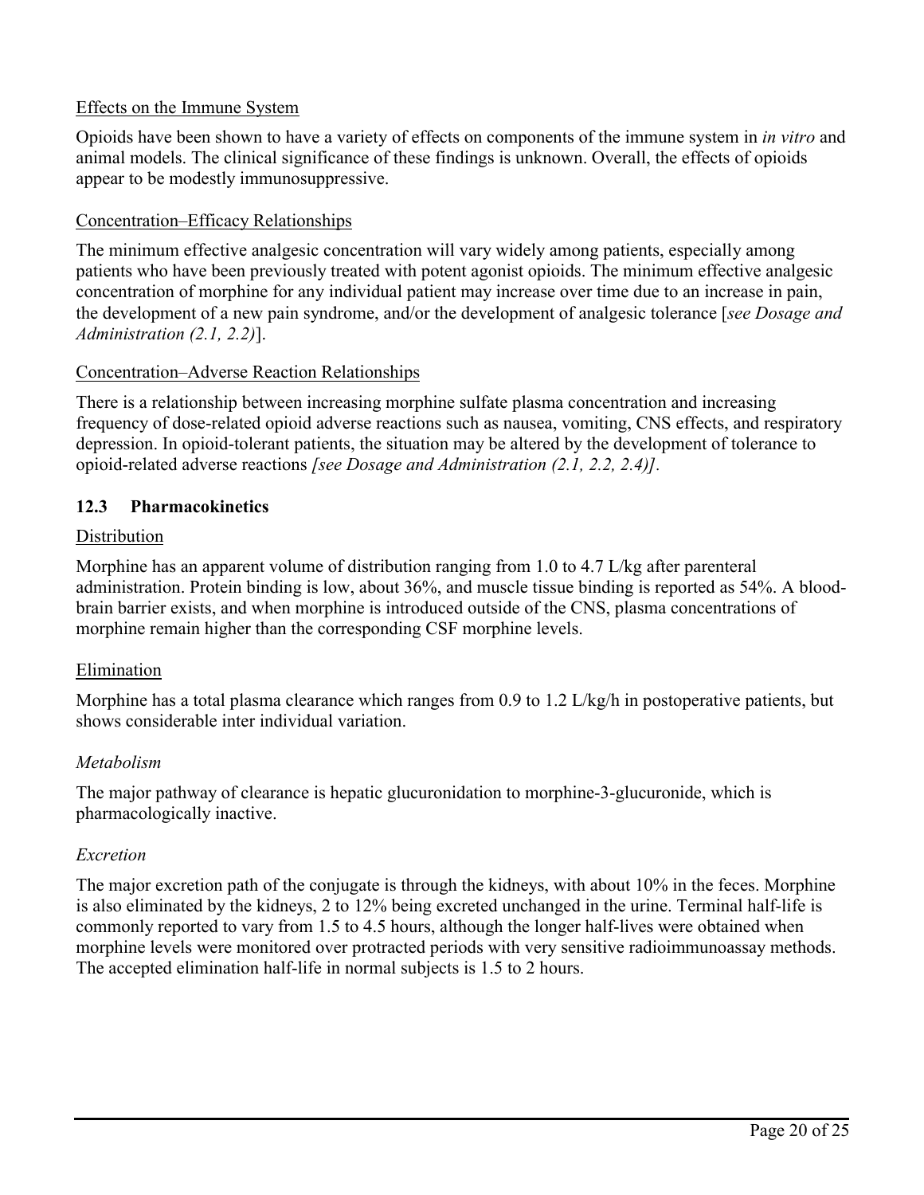### Effects on the Immune System

Opioids have been shown to have a variety of effects on components of the immune system in *in vitro* and animal models. The clinical significance of these findings is unknown. Overall, the effects of opioids appear to be modestly immunosuppressive.

### Concentration–Efficacy Relationships

The minimum effective analgesic concentration will vary widely among patients, especially among patients who have been previously treated with potent agonist opioids. The minimum effective analgesic concentration of morphine for any individual patient may increase over time due to an increase in pain, the development of a new pain syndrome, and/or the development of analgesic tolerance [*see Dosage and Administration (2.1, 2.2)*].

## Concentration–Adverse Reaction Relationships

There is a relationship between increasing morphine sulfate plasma concentration and increasing frequency of dose-related opioid adverse reactions such as nausea, vomiting, CNS effects, and respiratory depression. In opioid-tolerant patients, the situation may be altered by the development of tolerance to opioid-related adverse reactions *[see Dosage and Administration (2.1, 2.2, 2.4)].*

## **12.3 Pharmacokinetics**

## **Distribution**

Morphine has an apparent volume of distribution ranging from 1.0 to 4.7 L/kg after parenteral administration. Protein binding is low, about 36%, and muscle tissue binding is reported as 54%. A bloodbrain barrier exists, and when morphine is introduced outside of the CNS, plasma concentrations of morphine remain higher than the corresponding CSF morphine levels.

### Elimination

Morphine has a total plasma clearance which ranges from 0.9 to 1.2 L/kg/h in postoperative patients, but shows considerable inter individual variation.

### *Metabolism*

The major pathway of clearance is hepatic glucuronidation to morphine-3-glucuronide, which is pharmacologically inactive.

### *Excretion*

The major excretion path of the conjugate is through the kidneys, with about 10% in the feces. Morphine is also eliminated by the kidneys, 2 to 12% being excreted unchanged in the urine. Terminal half-life is commonly reported to vary from 1.5 to 4.5 hours, although the longer half-lives were obtained when morphine levels were monitored over protracted periods with very sensitive radioimmunoassay methods. The accepted elimination half-life in normal subjects is 1.5 to 2 hours.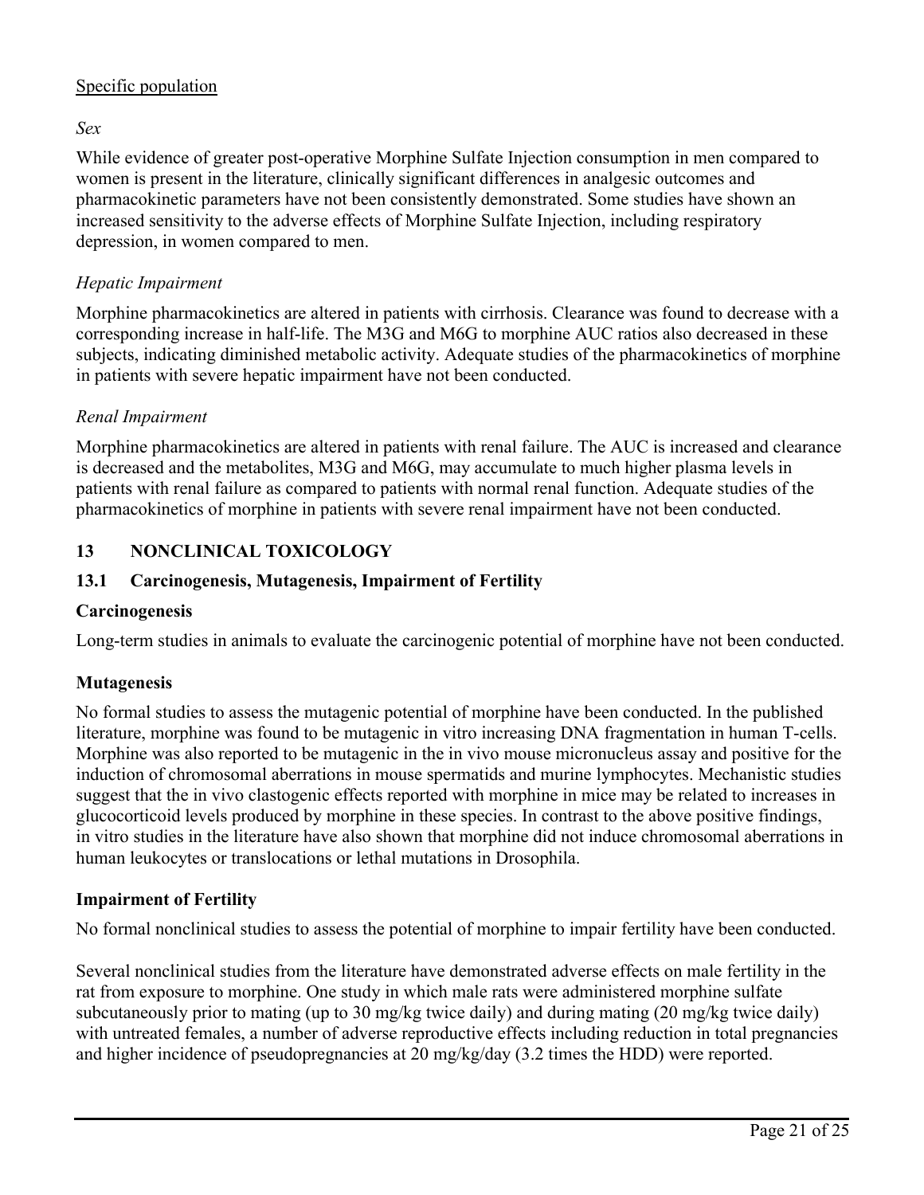## Specific population

*Sex*

While evidence of greater post-operative Morphine Sulfate Injection consumption in men compared to women is present in the literature, clinically significant differences in analgesic outcomes and pharmacokinetic parameters have not been consistently demonstrated. Some studies have shown an increased sensitivity to the adverse effects of Morphine Sulfate Injection, including respiratory depression, in women compared to men.

## *Hepatic Impairment*

Morphine pharmacokinetics are altered in patients with cirrhosis. Clearance was found to decrease with a corresponding increase in half-life. The M3G and M6G to morphine AUC ratios also decreased in these subjects, indicating diminished metabolic activity. Adequate studies of the pharmacokinetics of morphine in patients with severe hepatic impairment have not been conducted.

### *Renal Impairment*

Morphine pharmacokinetics are altered in patients with renal failure. The AUC is increased and clearance is decreased and the metabolites, M3G and M6G, may accumulate to much higher plasma levels in patients with renal failure as compared to patients with normal renal function. Adequate studies of the pharmacokinetics of morphine in patients with severe renal impairment have not been conducted.

## **13 NONCLINICAL TOXICOLOGY**

## **13.1 Carcinogenesis, Mutagenesis, Impairment of Fertility**

### **Carcinogenesis**

Long-term studies in animals to evaluate the carcinogenic potential of morphine have not been conducted.

## **Mutagenesis**

No formal studies to assess the mutagenic potential of morphine have been conducted. In the published literature, morphine was found to be mutagenic in vitro increasing DNA fragmentation in human T-cells. Morphine was also reported to be mutagenic in the in vivo mouse micronucleus assay and positive for the induction of chromosomal aberrations in mouse spermatids and murine lymphocytes. Mechanistic studies suggest that the in vivo clastogenic effects reported with morphine in mice may be related to increases in glucocorticoid levels produced by morphine in these species. In contrast to the above positive findings, in vitro studies in the literature have also shown that morphine did not induce chromosomal aberrations in human leukocytes or translocations or lethal mutations in Drosophila.

### **Impairment of Fertility**

No formal nonclinical studies to assess the potential of morphine to impair fertility have been conducted.

Several nonclinical studies from the literature have demonstrated adverse effects on male fertility in the rat from exposure to morphine. One study in which male rats were administered morphine sulfate subcutaneously prior to mating (up to 30 mg/kg twice daily) and during mating (20 mg/kg twice daily) with untreated females, a number of adverse reproductive effects including reduction in total pregnancies and higher incidence of pseudopregnancies at 20 mg/kg/day (3.2 times the HDD) were reported.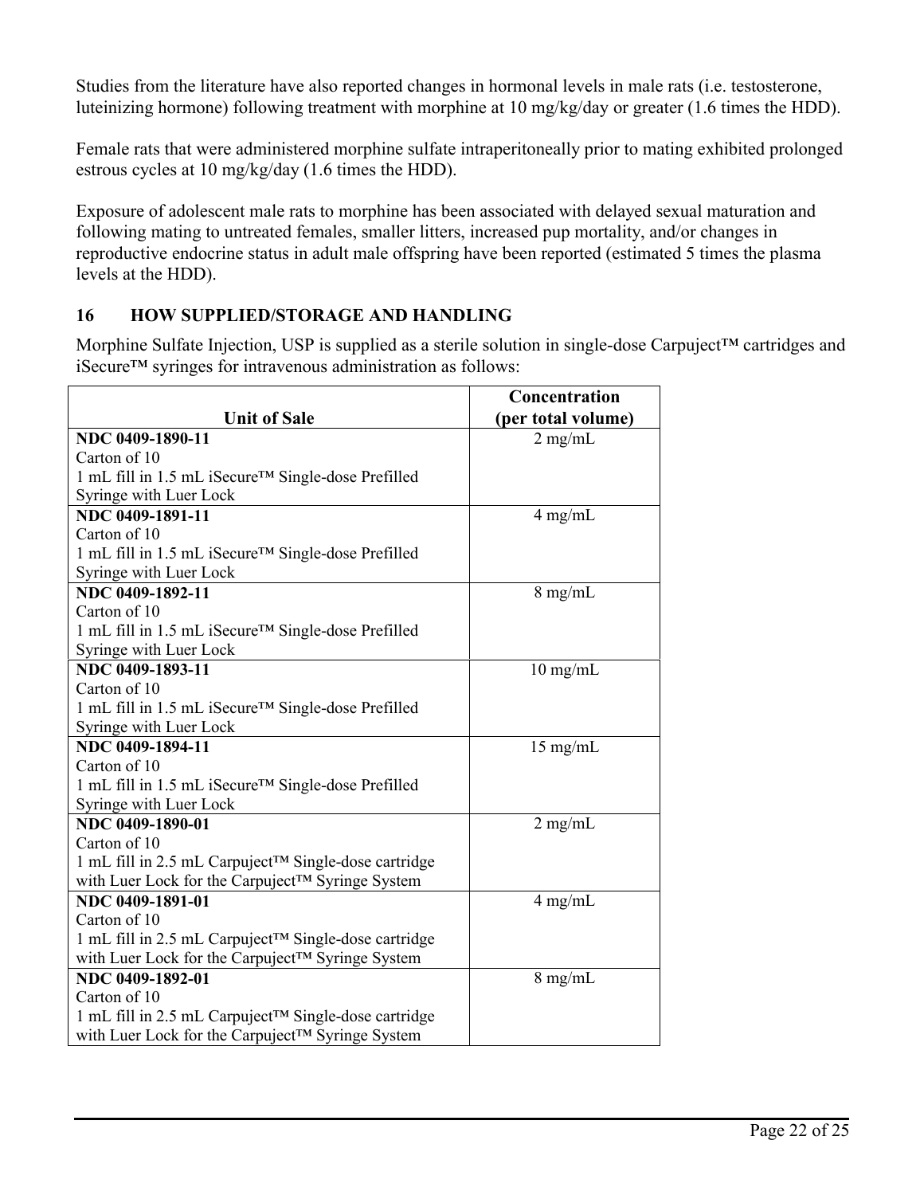Studies from the literature have also reported changes in hormonal levels in male rats (i.e. testosterone, luteinizing hormone) following treatment with morphine at 10 mg/kg/day or greater (1.6 times the HDD).

Female rats that were administered morphine sulfate intraperitoneally prior to mating exhibited prolonged estrous cycles at 10 mg/kg/day (1.6 times the HDD).

Exposure of adolescent male rats to morphine has been associated with delayed sexual maturation and following mating to untreated females, smaller litters, increased pup mortality, and/or changes in reproductive endocrine status in adult male offspring have been reported (estimated 5 times the plasma levels at the HDD).

## **16 HOW SUPPLIED/STORAGE AND HANDLING**

Morphine Sulfate Injection, USP is supplied as a sterile solution in single-dose Carpuject™ cartridges and iSecure™ syringes for intravenous administration as follows:

|                                                                 | Concentration      |
|-----------------------------------------------------------------|--------------------|
| <b>Unit of Sale</b>                                             | (per total volume) |
| NDC 0409-1890-11                                                | $2$ mg/mL          |
| Carton of 10                                                    |                    |
| 1 mL fill in 1.5 mL iSecure <sup>™</sup> Single-dose Prefilled  |                    |
| Syringe with Luer Lock                                          |                    |
| NDC 0409-1891-11                                                | $4$ mg/mL          |
| Carton of 10                                                    |                    |
| 1 mL fill in 1.5 mL iSecure <sup>TM</sup> Single-dose Prefilled |                    |
| Syringe with Luer Lock                                          |                    |
| NDC 0409-1892-11                                                | $8$ mg/mL          |
| Carton of 10                                                    |                    |
| 1 mL fill in 1.5 mL iSecure <sup>™</sup> Single-dose Prefilled  |                    |
| Syringe with Luer Lock                                          |                    |
| NDC 0409-1893-11                                                | $10$ mg/mL         |
| Carton of 10                                                    |                    |
| 1 mL fill in 1.5 mL iSecure <sup>™</sup> Single-dose Prefilled  |                    |
| Syringe with Luer Lock                                          |                    |
| NDC 0409-1894-11                                                | $15 \text{ mg/mL}$ |
| Carton of 10                                                    |                    |
| 1 mL fill in 1.5 mL iSecure <sup>TM</sup> Single-dose Prefilled |                    |
| Syringe with Luer Lock                                          |                    |
| NDC 0409-1890-01                                                | $2$ mg/mL          |
| Carton of 10                                                    |                    |
| 1 mL fill in 2.5 mL Carpuject™ Single-dose cartridge            |                    |
| with Luer Lock for the Carpuject™ Syringe System                |                    |
| NDC 0409-1891-01                                                | $4$ mg/mL          |
| Carton of 10                                                    |                    |
| 1 mL fill in 2.5 mL Carpuject™ Single-dose cartridge            |                    |
| with Luer Lock for the Carpuject™ Syringe System                |                    |
| NDC 0409-1892-01                                                | $8$ mg/mL          |
| Carton of 10                                                    |                    |
| 1 mL fill in 2.5 mL Carpuject™ Single-dose cartridge            |                    |
| with Luer Lock for the Carpuject <sup>TM</sup> Syringe System   |                    |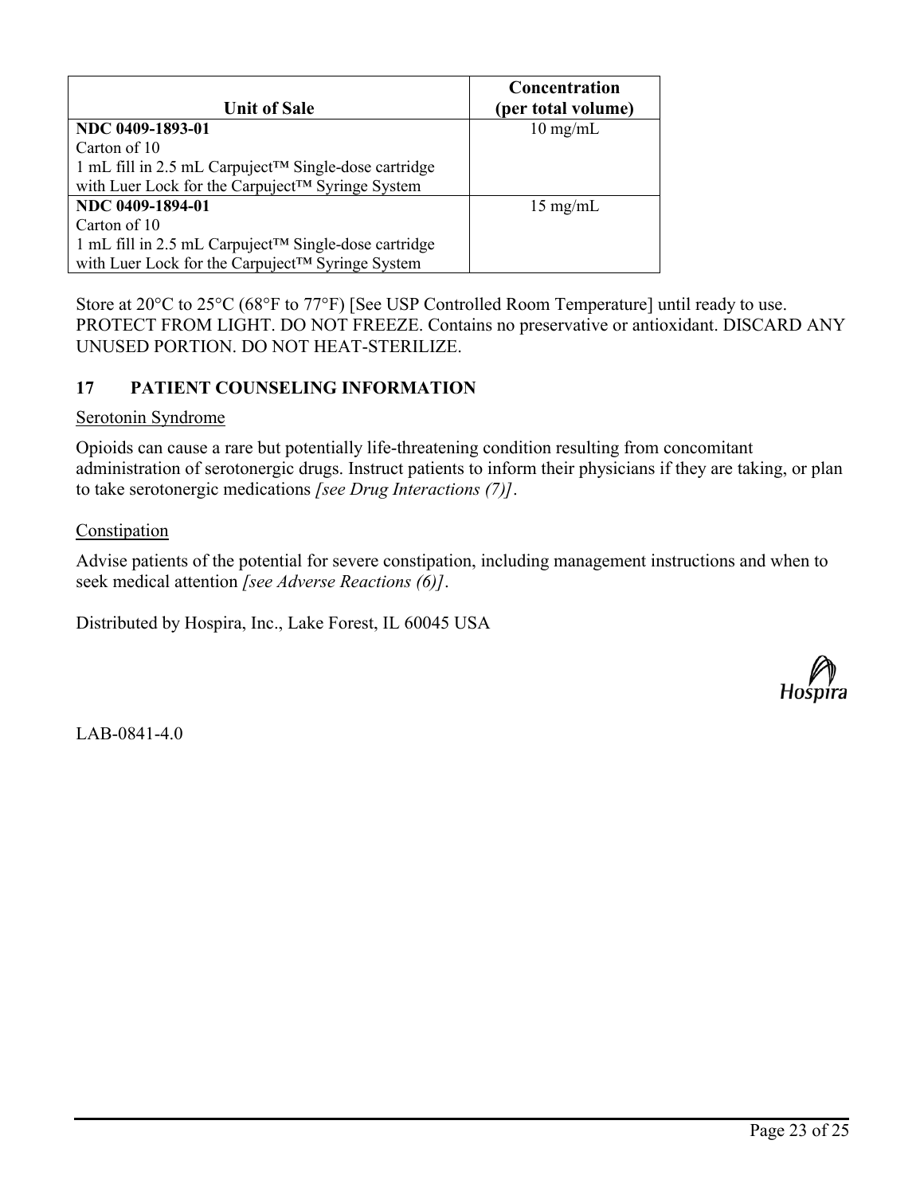|                                                                  | Concentration      |
|------------------------------------------------------------------|--------------------|
| <b>Unit of Sale</b>                                              | (per total volume) |
| NDC 0409-1893-01                                                 | $10 \text{ mg/mL}$ |
| Carton of 10                                                     |                    |
| 1 mL fill in 2.5 mL Carpuject <sup>™</sup> Single-dose cartridge |                    |
| with Luer Lock for the Carpuject™ Syringe System                 |                    |
| NDC 0409-1894-01                                                 | $15 \text{ mg/mL}$ |
| Carton of 10                                                     |                    |
| 1 mL fill in 2.5 mL Carpuject <sup>™</sup> Single-dose cartridge |                    |
| with Luer Lock for the Carpuject™ Syringe System                 |                    |

Store at 20°C to 25°C (68°F to 77°F) [See USP Controlled Room Temperature] until ready to use. PROTECT FROM LIGHT. DO NOT FREEZE. Contains no preservative or antioxidant. DISCARD ANY UNUSED PORTION. DO NOT HEAT-STERILIZE.

## **17 PATIENT COUNSELING INFORMATION**

#### Serotonin Syndrome

Opioids can cause a rare but potentially life-threatening condition resulting from concomitant administration of serotonergic drugs. Instruct patients to inform their physicians if they are taking, or plan to take serotonergic medications *[see Drug Interactions (7)]*.

#### Constipation

Advise patients of the potential for severe constipation, including management instructions and when to seek medical attention *[see Adverse Reactions (6)]*.

Distributed by Hospira, Inc., Lake Forest, IL 60045 USA



 $LAB-0841-4.0$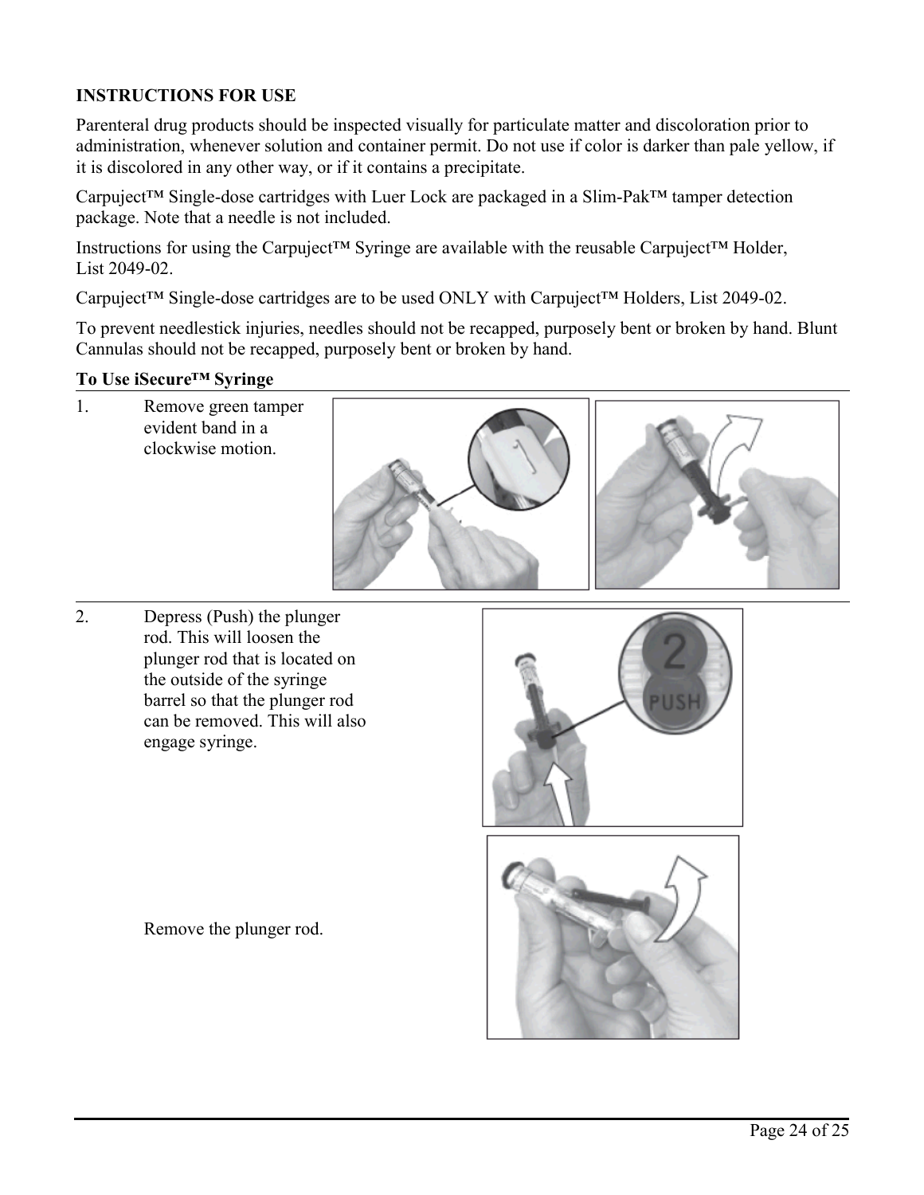## **INSTRUCTIONS FOR USE**

Parenteral drug products should be inspected visually for particulate matter and discoloration prior to administration, whenever solution and container permit. Do not use if color is darker than pale yellow, if it is discolored in any other way, or if it contains a precipitate.

Carpuject™ Single-dose cartridges with Luer Lock are packaged in a Slim-Pak™ tamper detection package. Note that a needle is not included.

Instructions for using the Carpuject™ Syringe are available with the reusable Carpuject™ Holder, List 2049-02.

Carpuject™ Single-dose cartridges are to be used ONLY with Carpuject™ Holders, List 2049-02.

To prevent needlestick injuries, needles should not be recapped, purposely bent or broken by hand. Blunt Cannulas should not be recapped, purposely bent or broken by hand.

#### **To Use iSecure™ Syringe**

1. Remove green tamper evident band in a clockwise motion.







Remove the plunger rod.